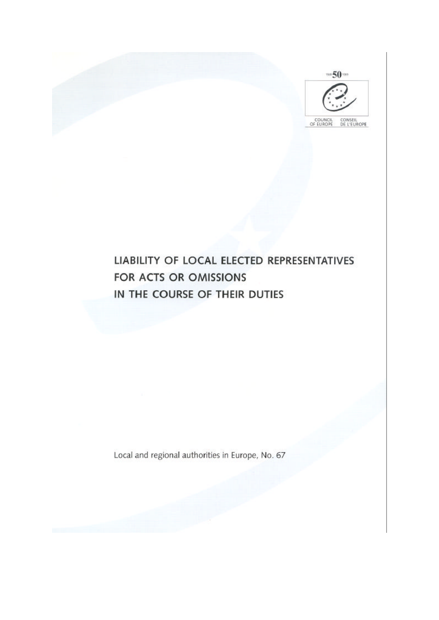

# LIABILITY OF LOCAL ELECTED REPRESENTATIVES FOR ACTS OR OMISSIONS IN THE COURSE OF THEIR DUTIES

Local and regional authorities in Europe, No. 67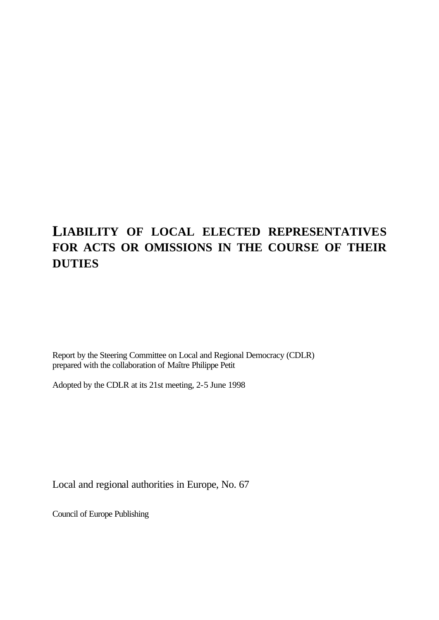## **LIABILITY OF LOCAL ELECTED REPRESENTATIVES FOR ACTS OR OMISSIONS IN THE COURSE OF THEIR DUTIES**

Report by the Steering Committee on Local and Regional Democracy (CDLR) prepared with the collaboration of Maître Philippe Petit

Adopted by the CDLR at its 21st meeting, 2-5 June 1998

Local and regional authorities in Europe, No. 67

Council of Europe Publishing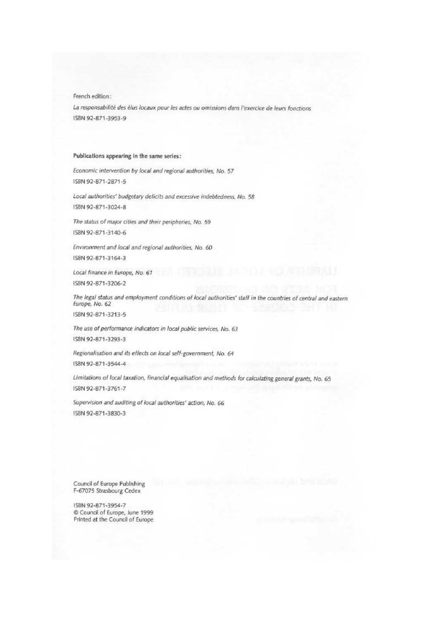French edition:

La responsabilité des élus locaux pour les actes ou omissions dans l'exercice de leurs fonctions ISBN 92-871-3953-9

#### Publications appearing in the same series:

Economic intervention by local and regional authorities, No. 57 ISBN 92-871-2871-5

Local authorities' budgetary deficits and excessive indebtedness, No. 58 ISBN 92-871-3024-8

The status of major cities and their peripheries, No. 59 ISBN 92-871-3140-6

Environment and local and regional authorities, No. 60 ISBN 92-871-3164-3

Local finance in Europe, No. 61 ISBN 92-871-3206-2

The legal status and employment conditions of local authorities' staff in the countries of central and eastern Europe, No. 62

ISBN 92-871-3213-5

The use of performance indicators in local public services, No. 63 ISBN 92-871-3293-3

Regionalisation and its effects on local self-government, No. 64

ISBN 92-871-3544-4

Limitations of local taxation, financial equalisation and methods for calculating general grants, No. 65 ISBN 92-871-3761-7

Supervision and auditing of local authorities' action, No. 66 ISBN 92-871-3830-3

Council of Europe Publishing F-67075 Strasbourg Cedex

ISBN 92-871-3954-7 Council of Europe, June 1999 Printed at the Council of Europe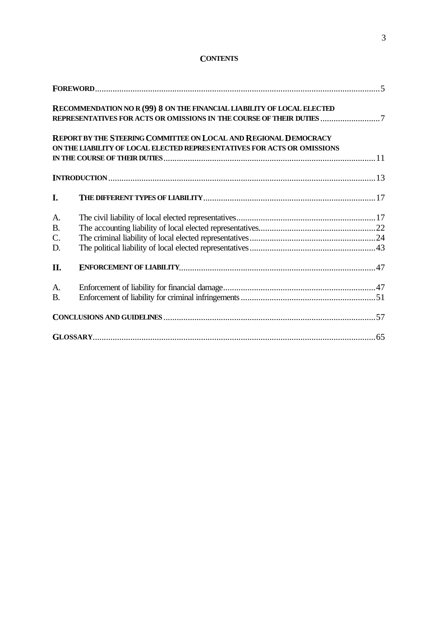|           | RECOMMENDATION NO R (99) 8 ON THE FINANCIAL LIABILITY OF LOCAL ELECTED                                                                      |  |
|-----------|---------------------------------------------------------------------------------------------------------------------------------------------|--|
|           | REPORT BY THE STEERING COMMITTEE ON LOCAL AND REGIONAL DEMOCRACY<br>ON THE LIABILITY OF LOCAL ELECTED REPRESENTATIVES FOR ACTS OR OMISSIONS |  |
|           |                                                                                                                                             |  |
| I.        |                                                                                                                                             |  |
| A.        |                                                                                                                                             |  |
| <b>B.</b> |                                                                                                                                             |  |
| C.<br>D.  |                                                                                                                                             |  |
| II.       |                                                                                                                                             |  |
| A.        |                                                                                                                                             |  |
| <b>B.</b> |                                                                                                                                             |  |
|           |                                                                                                                                             |  |
|           |                                                                                                                                             |  |

#### **CONTENTS**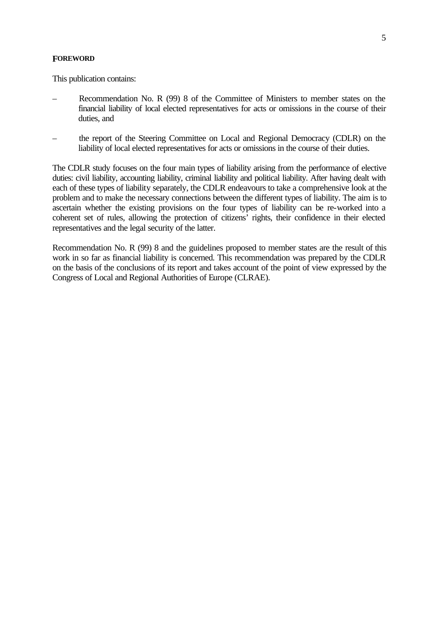#### **FOREWORD**

This publication contains:

- Recommendation No. R (99) 8 of the Committee of Ministers to member states on the financial liability of local elected representatives for acts or omissions in the course of their duties, and
- the report of the Steering Committee on Local and Regional Democracy (CDLR) on the liability of local elected representatives for acts or omissions in the course of their duties.

The CDLR study focuses on the four main types of liability arising from the performance of elective duties: civil liability, accounting liability, criminal liability and political liability. After having dealt with each of these types of liability separately, the CDLR endeavours to take a comprehensive look at the problem and to make the necessary connections between the different types of liability. The aim is to ascertain whether the existing provisions on the four types of liability can be re-worked into a coherent set of rules, allowing the protection of citizens' rights, their confidence in their elected representatives and the legal security of the latter.

Recommendation No. R (99) 8 and the guidelines proposed to member states are the result of this work in so far as financial liability is concerned. This recommendation was prepared by the CDLR on the basis of the conclusions of its report and takes account of the point of view expressed by the Congress of Local and Regional Authorities of Europe (CLRAE).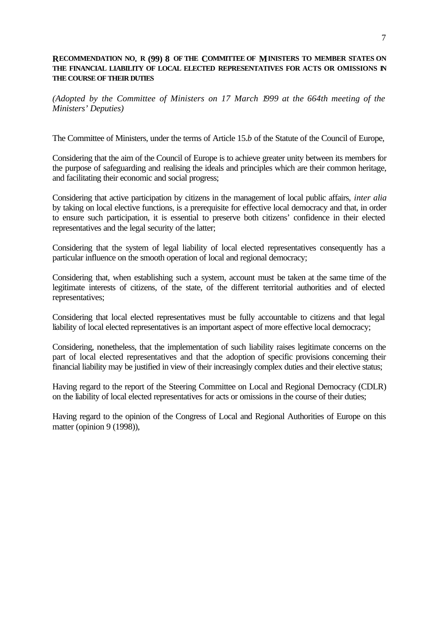#### **RECOMMENDATION NO. R (99) 8 OF THE COMMITTEE OF MINISTERS TO MEMBER STATES ON THE FINANCIAL LIABILITY OF LOCAL ELECTED REPRESENTATIVES FOR ACTS OR OMISSIONS IN THE COURSE OF THEIR DUTIES**

*(Adopted by the Committee of Ministers on 17 March 1999 at the 664th meeting of the Ministers' Deputies)*

The Committee of Ministers, under the terms of Article 15.*b* of the Statute of the Council of Europe,

Considering that the aim of the Council of Europe is to achieve greater unity between its members for the purpose of safeguarding and realising the ideals and principles which are their common heritage, and facilitating their economic and social progress;

Considering that active participation by citizens in the management of local public affairs, *inter alia* by taking on local elective functions, is a prerequisite for effective local democracy and that, in order to ensure such participation, it is essential to preserve both citizens' confidence in their elected representatives and the legal security of the latter;

Considering that the system of legal liability of local elected representatives consequently has a particular influence on the smooth operation of local and regional democracy;

Considering that, when establishing such a system, account must be taken at the same time of the legitimate interests of citizens, of the state, of the different territorial authorities and of elected representatives;

Considering that local elected representatives must be fully accountable to citizens and that legal liability of local elected representatives is an important aspect of more effective local democracy;

Considering, nonetheless, that the implementation of such liability raises legitimate concerns on the part of local elected representatives and that the adoption of specific provisions concerning their financial liability may be justified in view of their increasingly complex duties and their elective status;

Having regard to the report of the Steering Committee on Local and Regional Democracy (CDLR) on the liability of local elected representatives for acts or omissions in the course of their duties;

Having regard to the opinion of the Congress of Local and Regional Authorities of Europe on this matter (opinion 9 (1998)),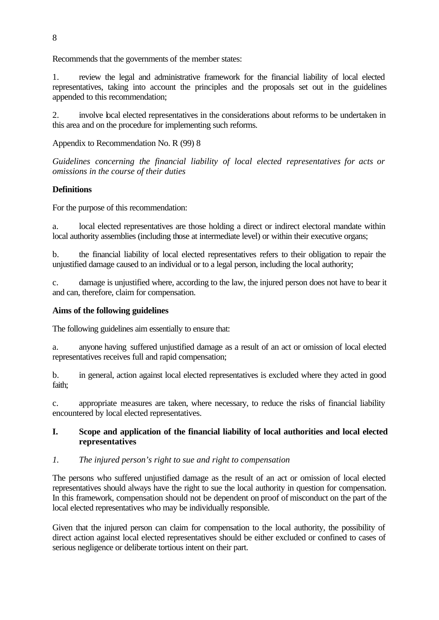Recommends that the governments of the member states:

1. review the legal and administrative framework for the financial liability of local elected representatives, taking into account the principles and the proposals set out in the guidelines appended to this recommendation;

2. involve local elected representatives in the considerations about reforms to be undertaken in this area and on the procedure for implementing such reforms.

Appendix to Recommendation No. R (99) 8

*Guidelines concerning the financial liability of local elected representatives for acts or omissions in the course of their duties*

## **Definitions**

For the purpose of this recommendation:

a. local elected representatives are those holding a direct or indirect electoral mandate within local authority assemblies (including those at intermediate level) or within their executive organs;

b. the financial liability of local elected representatives refers to their obligation to repair the unjustified damage caused to an individual or to a legal person, including the local authority;

c. damage is unjustified where, according to the law, the injured person does not have to bear it and can, therefore, claim for compensation.

### **Aims of the following guidelines**

The following guidelines aim essentially to ensure that:

a. anyone having suffered unjustified damage as a result of an act or omission of local elected representatives receives full and rapid compensation;

b. in general, action against local elected representatives is excluded where they acted in good faith;

c. appropriate measures are taken, where necessary, to reduce the risks of financial liability encountered by local elected representatives.

## **I. Scope and application of the financial liability of local authorities and local elected representatives**

### *1. The injured person's right to sue and right to compensation*

The persons who suffered unjustified damage as the result of an act or omission of local elected representatives should always have the right to sue the local authority in question for compensation. In this framework, compensation should not be dependent on proof of misconduct on the part of the local elected representatives who may be individually responsible.

Given that the injured person can claim for compensation to the local authority, the possibility of direct action against local elected representatives should be either excluded or confined to cases of serious negligence or deliberate tortious intent on their part.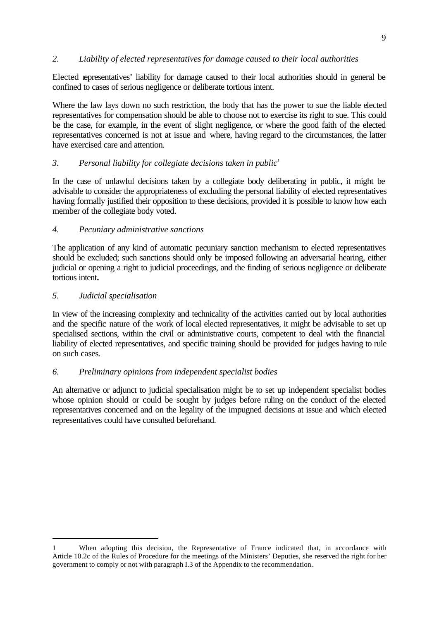## *2. Liability of elected representatives for damage caused to their local authorities*

Elected representatives' liability for damage caused to their local authorities should in general be confined to cases of serious negligence or deliberate tortious intent.

Where the law lays down no such restriction, the body that has the power to sue the liable elected representatives for compensation should be able to choose not to exercise its right to sue. This could be the case, for example, in the event of slight negligence, or where the good faith of the elected representatives concerned is not at issue and where, having regard to the circumstances, the latter have exercised care and attention.

## *3. Personal liability for collegiate decisions taken in public<sup>1</sup>*

In the case of unlawful decisions taken by a collegiate body deliberating in public, it might be advisable to consider the appropriateness of excluding the personal liability of elected representatives having formally justified their opposition to these decisions, provided it is possible to know how each member of the collegiate body voted.

## *4. Pecuniary administrative sanctions*

The application of any kind of automatic pecuniary sanction mechanism to elected representatives should be excluded; such sanctions should only be imposed following an adversarial hearing, either judicial or opening a right to judicial proceedings, and the finding of serious negligence or deliberate tortious intent*.*

### *5. Judicial specialisation*

In view of the increasing complexity and technicality of the activities carried out by local authorities and the specific nature of the work of local elected representatives, it might be advisable to set up specialised sections, within the civil or administrative courts, competent to deal with the financial liability of elected representatives, and specific training should be provided for judges having to rule on such cases.

### *6. Preliminary opinions from independent specialist bodies*

An alternative or adjunct to judicial specialisation might be to set up independent specialist bodies whose opinion should or could be sought by judges before ruling on the conduct of the elected representatives concerned and on the legality of the impugned decisions at issue and which elected representatives could have consulted beforehand.

ī 1 When adopting this decision, the Representative of France indicated that, in accordance with Article 10.2c of the Rules of Procedure for the meetings of the Ministers' Deputies, she reserved the right for her government to comply or not with paragraph I.3 of the Appendix to the recommendation.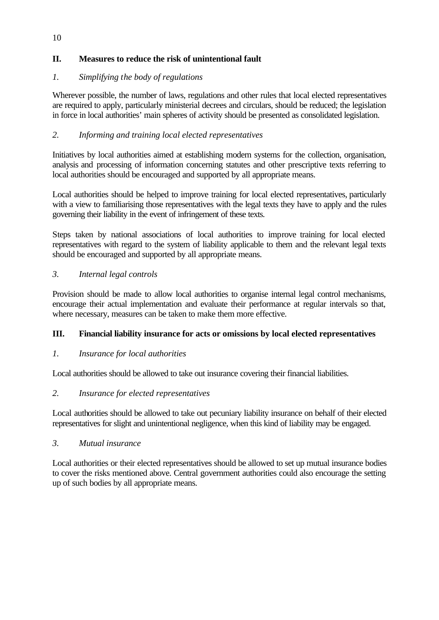## **II. Measures to reduce the risk of unintentional fault**

## *1. Simplifying the body of regulations*

Wherever possible, the number of laws, regulations and other rules that local elected representatives are required to apply, particularly ministerial decrees and circulars, should be reduced; the legislation in force in local authorities' main spheres of activity should be presented as consolidated legislation.

## *2. Informing and training local elected representatives*

Initiatives by local authorities aimed at establishing modern systems for the collection, organisation, analysis and processing of information concerning statutes and other prescriptive texts referring to local authorities should be encouraged and supported by all appropriate means.

Local authorities should be helped to improve training for local elected representatives, particularly with a view to familiarising those representatives with the legal texts they have to apply and the rules governing their liability in the event of infringement of these texts.

Steps taken by national associations of local authorities to improve training for local elected representatives with regard to the system of liability applicable to them and the relevant legal texts should be encouraged and supported by all appropriate means.

## *3. Internal legal controls*

Provision should be made to allow local authorities to organise internal legal control mechanisms, encourage their actual implementation and evaluate their performance at regular intervals so that, where necessary, measures can be taken to make them more effective.

## **III. Financial liability insurance for acts or omissions by local elected representatives**

## *1. Insurance for local authorities*

Local authorities should be allowed to take out insurance covering their financial liabilities.

## *2. Insurance for elected representatives*

Local authorities should be allowed to take out pecuniary liability insurance on behalf of their elected representatives for slight and unintentional negligence, when this kind of liability may be engaged.

## *3. Mutual insurance*

Local authorities or their elected representatives should be allowed to set up mutual insurance bodies to cover the risks mentioned above. Central government authorities could also encourage the setting up of such bodies by all appropriate means.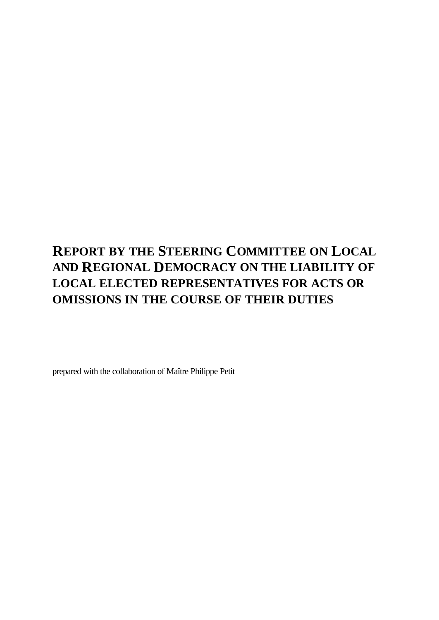## **REPORT BY THE STEERING COMMITTEE ON LOCAL AND REGIONAL DEMOCRACY ON THE LIABILITY OF LOCAL ELECTED REPRESENTATIVES FOR ACTS OR OMISSIONS IN THE COURSE OF THEIR DUTIES**

prepared with the collaboration of Maître Philippe Petit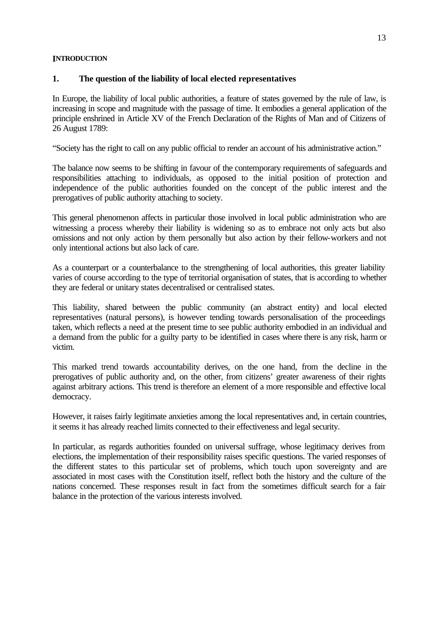#### **INTRODUCTION**

### **1. The question of the liability of local elected representatives**

In Europe, the liability of local public authorities, a feature of states governed by the rule of law, is increasing in scope and magnitude with the passage of time. It embodies a general application of the principle enshrined in Article XV of the French Declaration of the Rights of Man and of Citizens of 26 August 1789:

"Society has the right to call on any public official to render an account of his administrative action."

The balance now seems to be shifting in favour of the contemporary requirements of safeguards and responsibilities attaching to individuals, as opposed to the initial position of protection and independence of the public authorities founded on the concept of the public interest and the prerogatives of public authority attaching to society.

This general phenomenon affects in particular those involved in local public administration who are witnessing a process whereby their liability is widening so as to embrace not only acts but also omissions and not only action by them personally but also action by their fellow-workers and not only intentional actions but also lack of care.

As a counterpart or a counterbalance to the strengthening of local authorities, this greater liability varies of course according to the type of territorial organisation of states, that is according to whether they are federal or unitary states decentralised or centralised states.

This liability, shared between the public community (an abstract entity) and local elected representatives (natural persons), is however tending towards personalisation of the proceedings taken, which reflects a need at the present time to see public authority embodied in an individual and a demand from the public for a guilty party to be identified in cases where there is any risk, harm or victim.

This marked trend towards accountability derives, on the one hand, from the decline in the prerogatives of public authority and, on the other, from citizens' greater awareness of their rights against arbitrary actions. This trend is therefore an element of a more responsible and effective local democracy.

However, it raises fairly legitimate anxieties among the local representatives and, in certain countries, it seems it has already reached limits connected to their effectiveness and legal security.

In particular, as regards authorities founded on universal suffrage, whose legitimacy derives from elections, the implementation of their responsibility raises specific questions. The varied responses of the different states to this particular set of problems, which touch upon sovereignty and are associated in most cases with the Constitution itself, reflect both the history and the culture of the nations concerned. These responses result in fact from the sometimes difficult search for a fair balance in the protection of the various interests involved.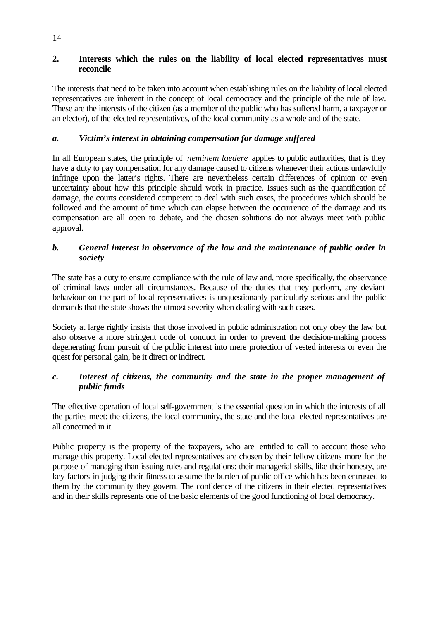## **2. Interests which the rules on the liability of local elected representatives must reconcile**

The interests that need to be taken into account when establishing rules on the liability of local elected representatives are inherent in the concept of local democracy and the principle of the rule of law. These are the interests of the citizen (as a member of the public who has suffered harm, a taxpayer or an elector), of the elected representatives, of the local community as a whole and of the state.

## *a. Victim's interest in obtaining compensation for damage suffered*

In all European states, the principle of *neminem laedere* applies to public authorities, that is they have a duty to pay compensation for any damage caused to citizens whenever their actions unlawfully infringe upon the latter's rights. There are nevertheless certain differences of opinion or even uncertainty about how this principle should work in practice. Issues such as the quantification of damage, the courts considered competent to deal with such cases, the procedures which should be followed and the amount of time which can elapse between the occurrence of the damage and its compensation are all open to debate, and the chosen solutions do not always meet with public approval.

## *b. General interest in observance of the law and the maintenance of public order in society*

The state has a duty to ensure compliance with the rule of law and, more specifically, the observance of criminal laws under all circumstances. Because of the duties that they perform, any deviant behaviour on the part of local representatives is unquestionably particularly serious and the public demands that the state shows the utmost severity when dealing with such cases.

Society at large rightly insists that those involved in public administration not only obey the law but also observe a more stringent code of conduct in order to prevent the decision-making process degenerating from pursuit of the public interest into mere protection of vested interests or even the quest for personal gain, be it direct or indirect.

## *c. Interest of citizens, the community and the state in the proper management of public funds*

The effective operation of local self-government is the essential question in which the interests of all the parties meet: the citizens, the local community, the state and the local elected representatives are all concerned in it.

Public property is the property of the taxpayers, who are entitled to call to account those who manage this property. Local elected representatives are chosen by their fellow citizens more for the purpose of managing than issuing rules and regulations: their managerial skills, like their honesty, are key factors in judging their fitness to assume the burden of public office which has been entrusted to them by the community they govern. The confidence of the citizens in their elected representatives and in their skills represents one of the basic elements of the good functioning of local democracy.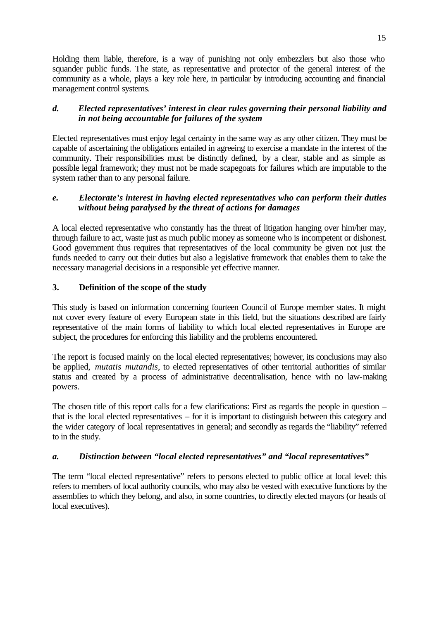Holding them liable, therefore, is a way of punishing not only embezzlers but also those who squander public funds. The state, as representative and protector of the general interest of the community as a whole, plays a key role here, in particular by introducing accounting and financial management control systems.

## *d. Elected representatives' interest in clear rules governing their personal liability and in not being accountable for failures of the system*

Elected representatives must enjoy legal certainty in the same way as any other citizen. They must be capable of ascertaining the obligations entailed in agreeing to exercise a mandate in the interest of the community. Their responsibilities must be distinctly defined, by a clear, stable and as simple as possible legal framework; they must not be made scapegoats for failures which are imputable to the system rather than to any personal failure.

## *e. Electorate's interest in having elected representatives who can perform their duties without being paralysed by the threat of actions for damages*

A local elected representative who constantly has the threat of litigation hanging over him/her may, through failure to act, waste just as much public money as someone who is incompetent or dishonest. Good government thus requires that representatives of the local community be given not just the funds needed to carry out their duties but also a legislative framework that enables them to take the necessary managerial decisions in a responsible yet effective manner.

## **3. Definition of the scope of the study**

This study is based on information concerning fourteen Council of Europe member states. It might not cover every feature of every European state in this field, but the situations described are fairly representative of the main forms of liability to which local elected representatives in Europe are subject, the procedures for enforcing this liability and the problems encountered.

The report is focused mainly on the local elected representatives; however, its conclusions may also be applied, *mutatis mutandis*, to elected representatives of other territorial authorities of similar status and created by a process of administrative decentralisation, hence with no law-making powers.

The chosen title of this report calls for a few clarifications: First as regards the people in question – that is the local elected representatives – for it is important to distinguish between this category and the wider category of local representatives in general; and secondly as regards the "liability" referred to in the study.

## *a. Distinction between "local elected representatives" and "local representatives"*

The term "local elected representative" refers to persons elected to public office at local level: this refers to members of local authority councils, who may also be vested with executive functions by the assemblies to which they belong, and also, in some countries, to directly elected mayors (or heads of local executives).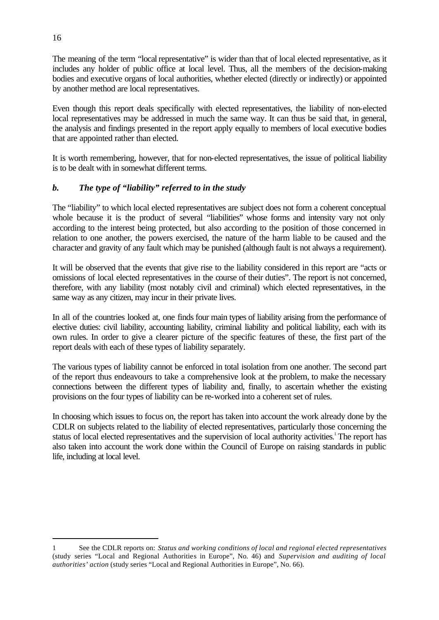The meaning of the term "local representative" is wider than that of local elected representative, as it includes any holder of public office at local level. Thus, all the members of the decision-making bodies and executive organs of local authorities, whether elected (directly or indirectly) or appointed by another method are local representatives.

Even though this report deals specifically with elected representatives, the liability of non-elected local representatives may be addressed in much the same way. It can thus be said that, in general, the analysis and findings presented in the report apply equally to members of local executive bodies that are appointed rather than elected.

It is worth remembering, however, that for non-elected representatives, the issue of political liability is to be dealt with in somewhat different terms.

## *b. The type of "liability" referred to in the study*

The "liability" to which local elected representatives are subject does not form a coherent conceptual whole because it is the product of several "liabilities" whose forms and intensity vary not only according to the interest being protected, but also according to the position of those concerned in relation to one another, the powers exercised, the nature of the harm liable to be caused and the character and gravity of any fault which may be punished (although fault is not always a requirement).

It will be observed that the events that give rise to the liability considered in this report are "acts or omissions of local elected representatives in the course of their duties". The report is not concerned, therefore, with any liability (most notably civil and criminal) which elected representatives, in the same way as any citizen, may incur in their private lives.

In all of the countries looked at, one finds four main types of liability arising from the performance of elective duties: civil liability, accounting liability, criminal liability and political liability, each with its own rules. In order to give a clearer picture of the specific features of these, the first part of the report deals with each of these types of liability separately.

The various types of liability cannot be enforced in total isolation from one another. The second part of the report thus endeavours to take a comprehensive look at the problem, to make the necessary connections between the different types of liability and, finally, to ascertain whether the existing provisions on the four types of liability can be re-worked into a coherent set of rules.

In choosing which issues to focus on, the report has taken into account the work already done by the CDLR on subjects related to the liability of elected representatives, particularly those concerning the status of local elected representatives and the supervision of local authority activities.<sup>1</sup> The report has also taken into account the work done within the Council of Europe on raising standards in public life, including at local level.

ī

<sup>1</sup> See the CDLR reports on: *Status and working conditions of local and regional elected representatives* (study series "Local and Regional Authorities in Europe", No. 46) and *Supervision and auditing of local authorities' action* (study series "Local and Regional Authorities in Europe", No. 66).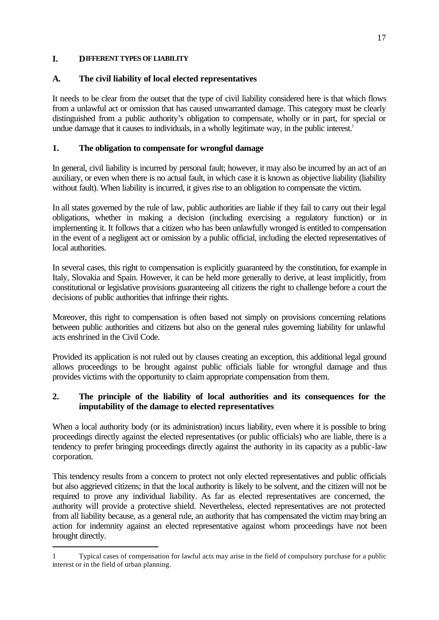### **I. DIFFERENT TYPES OF LIABILITY**

## **A. The civil liability of local elected representatives**

It needs to be clear from the outset that the type of civil liability considered here is that which flows from a unlawful act or omission that has caused unwarranted damage. This category must be clearly distinguished from a public authority's obligation to compensate, wholly or in part, for special or undue damage that it causes to individuals, in a wholly legitimate way, in the public interest.<sup>1</sup>

## **1. The obligation to compensate for wrongful damage**

In general, civil liability is incurred by personal fault; however, it may also be incurred by an act of an auxiliary, or even when there is no actual fault, in which case it is known as objective liability (liability without fault). When liability is incurred, it gives rise to an obligation to compensate the victim.

In all states governed by the rule of law, public authorities are liable if they fail to carry out their legal obligations, whether in making a decision (including exercising a regulatory function) or in implementing it. It follows that a citizen who has been unlawfully wronged is entitled to compensation in the event of a negligent act or omission by a public official, including the elected representatives of local authorities.

In several cases, this right to compensation is explicitly guaranteed by the constitution, for example in Italy, Slovakia and Spain. However, it can be held more generally to derive, at least implicitly, from constitutional or legislative provisions guaranteeing all citizens the right to challenge before a court the decisions of public authorities that infringe their rights.

Moreover, this right to compensation is often based not simply on provisions concerning relations between public authorities and citizens but also on the general rules governing liability for unlawful acts enshrined in the Civil Code.

Provided its application is not ruled out by clauses creating an exception, this additional legal ground allows proceedings to be brought against public officials liable for wrongful damage and thus provides victims with the opportunity to claim appropriate compensation from them.

## **2. The principle of the liability of local authorities and its consequences for the imputability of the damage to elected representatives**

When a local authority body (or its administration) incurs liability, even where it is possible to bring proceedings directly against the elected representatives (or public officials) who are liable, there is a tendency to prefer bringing proceedings directly against the authority in its capacity as a public-law corporation.

This tendency results from a concern to protect not only elected representatives and public officials but also aggrieved citizens; in that the local authority is likely to be solvent, and the citizen will not be required to prove any individual liability. As far as elected representatives are concerned, the authority will provide a protective shield. Nevertheless, elected representatives are not protected from all liability because, as a general rule, an authority that has compensated the victim may bring an action for indemnity against an elected representative against whom proceedings have not been brought directly.

ī 1 Typical cases of compensation for lawful acts may arise in the field of compulsory purchase for a public interest or in the field of urban planning.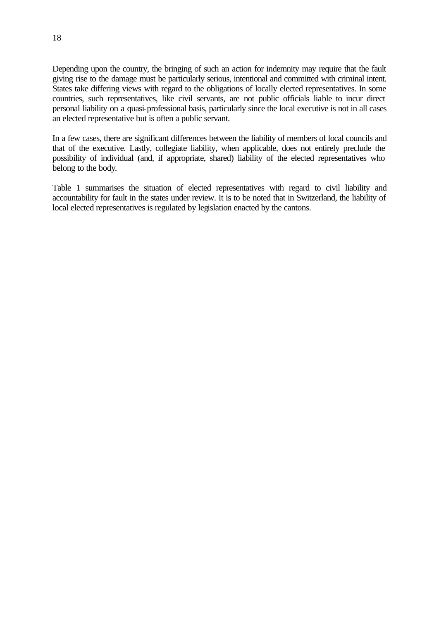Depending upon the country, the bringing of such an action for indemnity may require that the fault giving rise to the damage must be particularly serious, intentional and committed with criminal intent. States take differing views with regard to the obligations of locally elected representatives. In some countries, such representatives, like civil servants, are not public officials liable to incur direct personal liability on a quasi-professional basis, particularly since the local executive is not in all cases an elected representative but is often a public servant.

In a few cases, there are significant differences between the liability of members of local councils and that of the executive. Lastly, collegiate liability, when applicable, does not entirely preclude the possibility of individual (and, if appropriate, shared) liability of the elected representatives who belong to the body.

Table 1 summarises the situation of elected representatives with regard to civil liability and accountability for fault in the states under review. It is to be noted that in Switzerland, the liability of local elected representatives is regulated by legislation enacted by the cantons.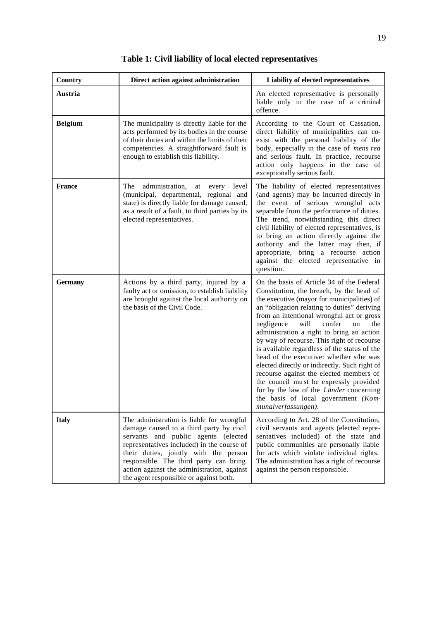| <b>Country</b> | Direct action against administration                                                                                                                                                                                                                                                                                                                 | Liability of elected representatives                                                                                                                                                                                                                                                                                                                                                                                                                                                                                                                                                                                                                                                                               |
|----------------|------------------------------------------------------------------------------------------------------------------------------------------------------------------------------------------------------------------------------------------------------------------------------------------------------------------------------------------------------|--------------------------------------------------------------------------------------------------------------------------------------------------------------------------------------------------------------------------------------------------------------------------------------------------------------------------------------------------------------------------------------------------------------------------------------------------------------------------------------------------------------------------------------------------------------------------------------------------------------------------------------------------------------------------------------------------------------------|
| Austria        |                                                                                                                                                                                                                                                                                                                                                      | An elected representative is personally<br>liable only in the case of a criminal<br>offence.                                                                                                                                                                                                                                                                                                                                                                                                                                                                                                                                                                                                                       |
| <b>Belgium</b> | The municipality is directly liable for the<br>acts performed by its bodies in the course<br>of their duties and within the limits of their<br>competencies. A straightforward fault is<br>enough to establish this liability.                                                                                                                       | According to the Court of Cassation,<br>direct liability of municipalities can co-<br>exist with the personal liability of the<br>body, especially in the case of mens rea<br>and serious fault. In practice, recourse<br>action only happens in the case of<br>exceptionally serious fault.                                                                                                                                                                                                                                                                                                                                                                                                                       |
| <b>France</b>  | The<br>administration,<br>every<br>level<br>at<br>(municipal, departmental, regional and<br>state) is directly liable for damage caused,<br>as a result of a fault, to third parties by its<br>elected representatives.                                                                                                                              | The liability of elected representatives<br>(and agents) may be incurred directly in<br>the event of serious wrongful acts<br>separable from the performance of duties.<br>The trend, notwithstanding this direct<br>civil liability of elected representatives, is<br>to bring an action directly against the<br>authority and the latter may then, if<br>appropriate, bring a recourse action<br>against the elected representative in<br>question.                                                                                                                                                                                                                                                              |
| <b>Germany</b> | Actions by a third party, injured by a<br>faulty act or omission, to establish liability<br>are brought against the local authority on<br>the basis of the Civil Code.                                                                                                                                                                               | On the basis of Article 34 of the Federal<br>Constitution, the breach, by the head of<br>the executive (mayor for municipalities) of<br>an "obligation relating to duties" deriving<br>from an intentional wrongful act or gross<br>negligence<br>will<br>confer<br>on<br>the<br>administration a right to bring an action<br>by way of recourse. This right of recourse<br>is available regardless of the status of the<br>head of the executive: whether s/he was<br>elected directly or indirectly. Such right of<br>recourse against the elected members of<br>the council must be expressly provided<br>for by the law of the Länder concerning<br>the basis of local government (Kom-<br>munalverfassungen). |
| <b>Italy</b>   | The administration is liable for wrongful<br>damage caused to a third party by civil<br>servants and public agents (elected<br>representatives included) in the course of<br>their duties, jointly with the person<br>responsible. The third party can bring<br>action against the administration, against<br>the agent responsible or against both. | According to Art. 28 of the Constitution,<br>civil servants and agents (elected repre-<br>sentatives included) of the state and<br>public communities are personally liable<br>for acts which violate individual rights.<br>The administration has a right of recourse<br>against the person responsible.                                                                                                                                                                                                                                                                                                                                                                                                          |

**Table 1: Civil liability of local elected representatives**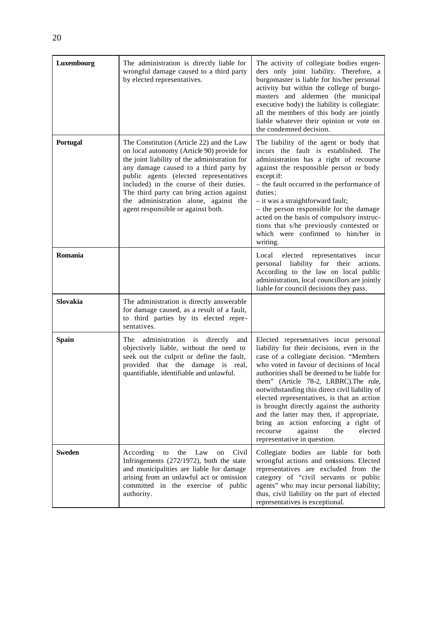| Luxembourg    | The administration is directly liable for<br>wrongful damage caused to a third party<br>by elected representatives.                                                                                                                                                                                                                                                                                | The activity of collegiate bodies engen-<br>ders only joint liability. Therefore, a<br>burgomaster is liable for his/her personal<br>activity but within the college of burgo-<br>masters and aldermen (the municipal<br>executive body) the liability is collegiate:<br>all the members of this body are jointly<br>liable whatever their opinion or vote on<br>the condemned decision.                                                                                                                                                                                        |
|---------------|----------------------------------------------------------------------------------------------------------------------------------------------------------------------------------------------------------------------------------------------------------------------------------------------------------------------------------------------------------------------------------------------------|---------------------------------------------------------------------------------------------------------------------------------------------------------------------------------------------------------------------------------------------------------------------------------------------------------------------------------------------------------------------------------------------------------------------------------------------------------------------------------------------------------------------------------------------------------------------------------|
| Portugal      | The Constitution (Article 22) and the Law<br>on local autonomy (Article 90) provide for<br>the joint liability of the administration for<br>any damage caused to a third party by<br>public agents (elected representatives<br>included) in the course of their duties.<br>The third party can bring action against<br>the administration alone, against the<br>agent responsible or against both. | The liability of the agent or body that<br>incurs the fault is established. The<br>administration has a right of recourse<br>against the responsible person or body<br>except if:<br>- the fault occurred in the performance of<br>duties:<br>- it was a straightforward fault;<br>- the person responsible for the damage<br>acted on the basis of compulsory instruc-<br>tions that s/he previously contested or<br>which were confirmed to him/her in<br>writing.                                                                                                            |
| Romania       |                                                                                                                                                                                                                                                                                                                                                                                                    | Local elected<br>representatives<br>incur<br>liability for their<br>personal<br>actions.<br>According to the law on local public<br>administration, local councillors are jointly<br>liable for council decisions they pass.                                                                                                                                                                                                                                                                                                                                                    |
| Slovakia      | The administration is directly answerable<br>for damage caused, as a result of a fault,<br>to third parties by its elected repre-<br>sentatives.                                                                                                                                                                                                                                                   |                                                                                                                                                                                                                                                                                                                                                                                                                                                                                                                                                                                 |
| <b>Spain</b>  | administration is directly<br>The<br>and<br>objectively liable, without the need to<br>seek out the culprit or define the fault,<br>provided that the damage is real,<br>quantifiable, identifiable and unlawful.                                                                                                                                                                                  | Elected representatives incur personal<br>liability for their decisions, even in the<br>case of a collegiate decision. "Members<br>who voted in favour of decisions of local<br>authorities shall be deemed to be liable for<br>them" (Article 78-2, LRBRC). The rule,<br>notwithstanding this direct civil liability of<br>elected representatives, is that an action<br>is brought directly against the authority<br>and the latter may then, if appropriate,<br>bring an action enforcing a right of<br>elected<br>recourse<br>against<br>the<br>representative in question. |
| <b>Sweden</b> | According<br>the Law<br>Civil<br>to<br>on<br>Infringements (272/1972), both the state<br>and municipalities are liable for damage<br>arising from an unlawful act or omission<br>committed in the exercise of public<br>authority.                                                                                                                                                                 | Collegiate bodies are liable for both<br>wrongful actions and omissions. Elected<br>representatives are excluded from the<br>category of "civil servants or public<br>agents" who may incur personal liability;<br>thus, civil liability on the part of elected<br>representatives is exceptional.                                                                                                                                                                                                                                                                              |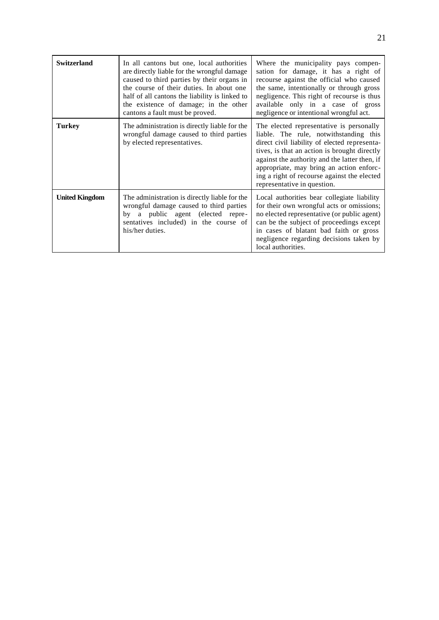| <b>Switzerland</b>    | In all cantons but one, local authorities<br>are directly liable for the wrongful damage<br>caused to third parties by their organs in<br>the course of their duties. In about one<br>half of all cantons the liability is linked to<br>the existence of damage; in the other<br>cantons a fault must be proved. | Where the municipality pays compen-<br>sation for damage, it has a right of<br>recourse against the official who caused<br>the same, intentionally or through gross<br>negligence. This right of recourse is thus<br>available only in a case of gross<br>negligence or intentional wrongful act.                                                              |
|-----------------------|------------------------------------------------------------------------------------------------------------------------------------------------------------------------------------------------------------------------------------------------------------------------------------------------------------------|----------------------------------------------------------------------------------------------------------------------------------------------------------------------------------------------------------------------------------------------------------------------------------------------------------------------------------------------------------------|
| <b>Turkey</b>         | The administration is directly liable for the<br>wrongful damage caused to third parties<br>by elected representatives.                                                                                                                                                                                          | The elected representative is personally<br>liable. The rule, notwithstanding this<br>direct civil liability of elected representa-<br>tives, is that an action is brought directly<br>against the authority and the latter then, if<br>appropriate, may bring an action enforc-<br>ing a right of recourse against the elected<br>representative in question. |
| <b>United Kingdom</b> | The administration is directly liable for the<br>wrongful damage caused to third parties<br>a public agent (elected repre-<br>by<br>sentatives included) in the course of<br>his/her duties.                                                                                                                     | Local authorities bear collegiate liability<br>for their own wrongful acts or omissions;<br>no elected representative (or public agent)<br>can be the subject of proceedings except<br>in cases of blatant bad faith or gross<br>negligence regarding decisions taken by<br>local authorities.                                                                 |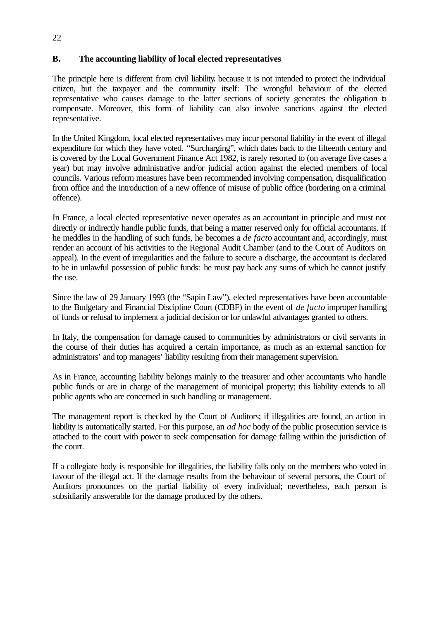## **B. The accounting liability of local elected representatives**

The principle here is different from civil liability, because it is not intended to protect the individual citizen, but the taxpayer and the community itself: The wrongful behaviour of the elected representative who causes damage to the latter sections of society generates the obligation to compensate. Moreover, this form of liability can also involve sanctions against the elected representative.

In the United Kingdom, local elected representatives may incur personal liability in the event of illegal expenditure for which they have voted. "Surcharging", which dates back to the fifteenth century and is covered by the Local Government Finance Act 1982, is rarely resorted to (on average five cases a year) but may involve administrative and/or judicial action against the elected members of local councils. Various reform measures have been recommended involving compensation, disqualification from office and the introduction of a new offence of misuse of public office (bordering on a criminal offence).

In France, a local elected representative never operates as an accountant in principle and must not directly or indirectly handle public funds, that being a matter reserved only for official accountants. If he meddles in the handling of such funds, he becomes a *de facto* accountant and, accordingly, must render an account of his activities to the Regional Audit Chamber (and to the Court of Auditors on appeal). In the event of irregularities and the failure to secure a discharge, the accountant is declared to be in unlawful possession of public funds: he must pay back any sums of which he cannot justify the use.

Since the law of 29 January 1993 (the "Sapin Law"), elected representatives have been accountable to the Budgetary and Financial Discipline Court (CDBF) in the event of *de facto* improper handling of funds or refusal to implement a judicial decision or for unlawful advantages granted to others.

In Italy, the compensation for damage caused to communities by administrators or civil servants in the course of their duties has acquired a certain importance, as much as an external sanction for administrators' and top managers' liability resulting from their management supervision.

As in France, accounting liability belongs mainly to the treasurer and other accountants who handle public funds or are in charge of the management of municipal property; this liability extends to all public agents who are concerned in such handling or management.

The management report is checked by the Court of Auditors; if illegalities are found, an action in liability is automatically started. For this purpose, an *ad hoc* body of the public prosecution service is attached to the court with power to seek compensation for damage falling within the jurisdiction of the court.

If a collegiate body is responsible for illegalities, the liability falls only on the members who voted in favour of the illegal act. If the damage results from the behaviour of several persons, the Court of Auditors pronounces on the partial liability of every individual; nevertheless, each person is subsidiarily answerable for the damage produced by the others.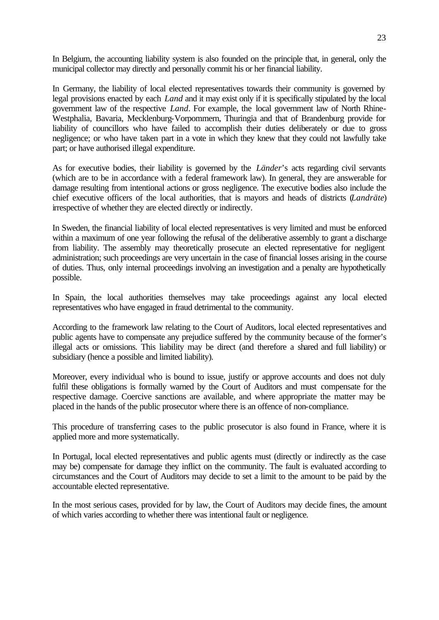In Belgium, the accounting liability system is also founded on the principle that, in general, only the municipal collector may directly and personally commit his or her financial liability.

In Germany, the liability of local elected representatives towards their community is governed by legal provisions enacted by each *Land* and it may exist only if it is specifically stipulated by the local government law of the respective *Land*. For example, the local government law of North Rhine-Westphalia, Bavaria, Mecklenburg-Vorpommern, Thuringia and that of Brandenburg provide for liability of councillors who have failed to accomplish their duties deliberately or due to gross negligence; or who have taken part in a vote in which they knew that they could not lawfully take part; or have authorised illegal expenditure.

As for executive bodies, their liability is governed by the *Länder*'s acts regarding civil servants (which are to be in accordance with a federal framework law). In general, they are answerable for damage resulting from intentional actions or gross negligence. The executive bodies also include the chief executive officers of the local authorities, that is mayors and heads of districts (*Landräte*) irrespective of whether they are elected directly or indirectly.

In Sweden, the financial liability of local elected representatives is very limited and must be enforced within a maximum of one year following the refusal of the deliberative assembly to grant a discharge from liability. The assembly may theoretically prosecute an elected representative for negligent administration; such proceedings are very uncertain in the case of financial losses arising in the course of duties. Thus, only internal proceedings involving an investigation and a penalty are hypothetically possible.

In Spain, the local authorities themselves may take proceedings against any local elected representatives who have engaged in fraud detrimental to the community.

According to the framework law relating to the Court of Auditors, local elected representatives and public agents have to compensate any prejudice suffered by the community because of the former's illegal acts or omissions. This liability may be direct (and therefore a shared and full liability) or subsidiary (hence a possible and limited liability).

Moreover, every individual who is bound to issue, justify or approve accounts and does not duly fulfil these obligations is formally warned by the Court of Auditors and must compensate for the respective damage. Coercive sanctions are available, and where appropriate the matter may be placed in the hands of the public prosecutor where there is an offence of non-compliance.

This procedure of transferring cases to the public prosecutor is also found in France, where it is applied more and more systematically.

In Portugal, local elected representatives and public agents must (directly or indirectly as the case may be) compensate for damage they inflict on the community. The fault is evaluated according to circumstances and the Court of Auditors may decide to set a limit to the amount to be paid by the accountable elected representative.

In the most serious cases, provided for by law, the Court of Auditors may decide fines, the amount of which varies according to whether there was intentional fault or negligence.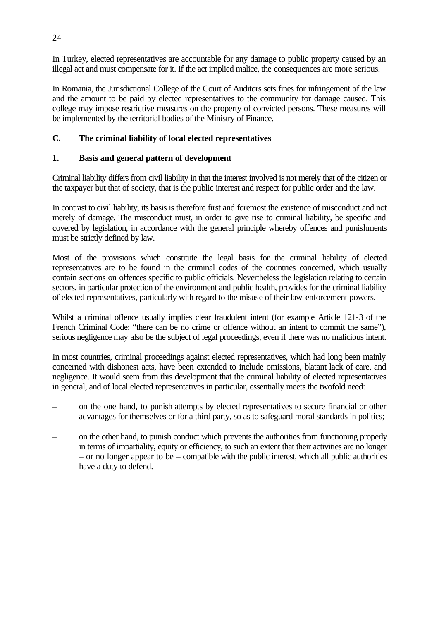In Turkey, elected representatives are accountable for any damage to public property caused by an illegal act and must compensate for it. If the act implied malice, the consequences are more serious.

In Romania, the Jurisdictional College of the Court of Auditors sets fines for infringement of the law and the amount to be paid by elected representatives to the community for damage caused. This college may impose restrictive measures on the property of convicted persons. These measures will be implemented by the territorial bodies of the Ministry of Finance.

## **C. The criminal liability of local elected representatives**

## **1. Basis and general pattern of development**

Criminal liability differs from civil liability in that the interest involved is not merely that of the citizen or the taxpayer but that of society, that is the public interest and respect for public order and the law.

In contrast to civil liability, its basis is therefore first and foremost the existence of misconduct and not merely of damage. The misconduct must, in order to give rise to criminal liability, be specific and covered by legislation, in accordance with the general principle whereby offences and punishments must be strictly defined by law.

Most of the provisions which constitute the legal basis for the criminal liability of elected representatives are to be found in the criminal codes of the countries concerned, which usually contain sections on offences specific to public officials. Nevertheless the legislation relating to certain sectors, in particular protection of the environment and public health, provides for the criminal liability of elected representatives, particularly with regard to the misuse of their law-enforcement powers.

Whilst a criminal offence usually implies clear fraudulent intent (for example Article 121-3 of the French Criminal Code: "there can be no crime or offence without an intent to commit the same"), serious negligence may also be the subject of legal proceedings, even if there was no malicious intent.

In most countries, criminal proceedings against elected representatives, which had long been mainly concerned with dishonest acts, have been extended to include omissions, blatant lack of care, and negligence. It would seem from this development that the criminal liability of elected representatives in general, and of local elected representatives in particular, essentially meets the twofold need:

- on the one hand, to punish attempts by elected representatives to secure financial or other advantages for themselves or for a third party, so as to safeguard moral standards in politics;
- on the other hand, to punish conduct which prevents the authorities from functioning properly in terms of impartiality, equity or efficiency, to such an extent that their activities are no longer  $-$  or no longer appear to be  $-$  compatible with the public interest, which all public authorities have a duty to defend.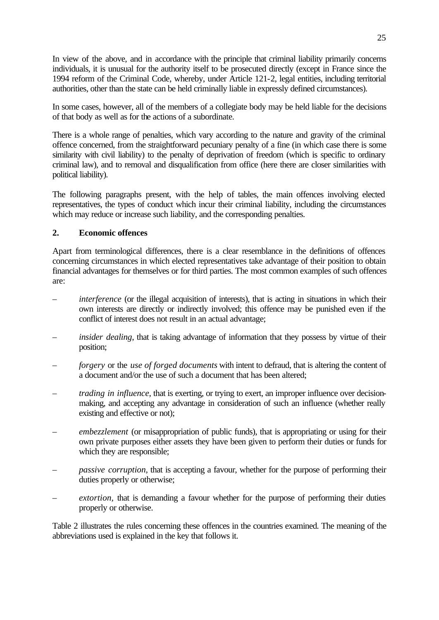In view of the above, and in accordance with the principle that criminal liability primarily concerns individuals, it is unusual for the authority itself to be prosecuted directly (except in France since the 1994 reform of the Criminal Code, whereby, under Article 121-2, legal entities, including territorial authorities, other than the state can be held criminally liable in expressly defined circumstances).

In some cases, however, all of the members of a collegiate body may be held liable for the decisions of that body as well as for the actions of a subordinate.

There is a whole range of penalties, which vary according to the nature and gravity of the criminal offence concerned, from the straightforward pecuniary penalty of a fine (in which case there is some similarity with civil liability) to the penalty of deprivation of freedom (which is specific to ordinary criminal law), and to removal and disqualification from office (here there are closer similarities with political liability).

The following paragraphs present, with the help of tables, the main offences involving elected representatives, the types of conduct which incur their criminal liability, including the circumstances which may reduce or increase such liability, and the corresponding penalties.

## **2. Economic offences**

Apart from terminological differences, there is a clear resemblance in the definitions of offences concerning circumstances in which elected representatives take advantage of their position to obtain financial advantages for themselves or for third parties. The most common examples of such offences are:

- *interference* (or the illegal acquisition of interests), that is acting in situations in which their own interests are directly or indirectly involved; this offence may be punished even if the conflict of interest does not result in an actual advantage;
- *insider dealing*, that is taking advantage of information that they possess by virtue of their position;
- *forgery* or the *use of forged documents* with intent to defraud, that is altering the content of a document and/or the use of such a document that has been altered;
- *trading in influence*, that is exerting, or trying to exert, an improper influence over decisionmaking, and accepting any advantage in consideration of such an influence (whether really existing and effective or not);
- *embezzlement* (or misappropriation of public funds), that is appropriating or using for their own private purposes either assets they have been given to perform their duties or funds for which they are responsible;
- *passive corruption*, that is accepting a favour, whether for the purpose of performing their duties properly or otherwise;
- *extortion,* that is demanding a favour whether for the purpose of performing their duties properly or otherwise.

Table 2 illustrates the rules concerning these offences in the countries examined. The meaning of the abbreviations used is explained in the key that follows it.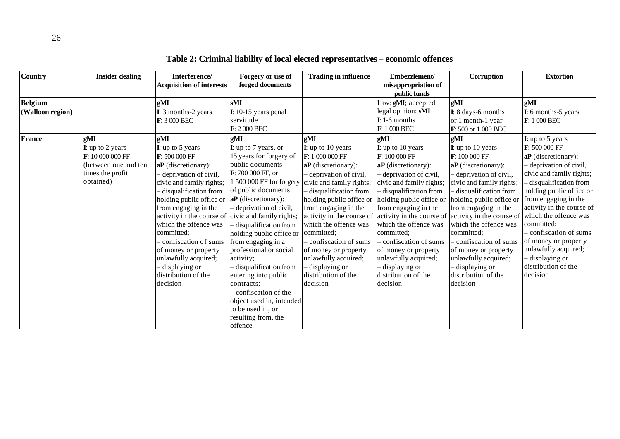| <b>Country</b>   | <b>Insider dealing</b> | Interference/<br><b>Acquisition of interests</b>   | Forgery or use of<br>forged documents | <b>Trading in influence</b> | Embezzlement/<br>misappropriation of                | Corruption                | <b>Extortion</b>          |
|------------------|------------------------|----------------------------------------------------|---------------------------------------|-----------------------------|-----------------------------------------------------|---------------------------|---------------------------|
|                  |                        |                                                    |                                       |                             | public funds                                        |                           |                           |
| <b>Belgium</b>   |                        | gMI                                                | sMI                                   |                             | Law: gMI; accepted                                  | gMI                       | gMI                       |
| (Walloon region) |                        | I: 3 months-2 years                                | $I: 10-15$ years penal                |                             | legal opinion: sMI                                  | I: 8 days-6 months        | I: 6 months-5 years       |
|                  |                        | F: 3 000 BEC                                       | servitude                             |                             | $I: 1-6$ months                                     | or 1 month-1 year         | F: 1 000 BEC              |
|                  |                        |                                                    | $F: 2000$ BEC                         |                             | F: 1 000 BEC                                        | F: 500 or 1 000 BEC       |                           |
| <b>France</b>    | gMI                    | gMI                                                | gMI                                   | gMI                         | gMI                                                 | gMI                       | <b>I:</b> up to 5 years   |
|                  | I: up to 2 years       | <b>I</b> : up to 5 years                           | I: up to 7 years, or                  | <b>I</b> : up to 10 years   | <b>I</b> : up to 10 years                           | <b>I</b> : up to 10 years | F: 500 000 FF             |
|                  | F: 10 000 000 FF       | F: 500 000 FF                                      | 15 years for forgery of               | F: 1 000 000 FF             | F: 100 000 FF                                       | F: 100 000 FF             | $aP$ (discretionary):     |
|                  | (between one and ten   | aP (discretionary):                                | public documents                      | $aP$ (discretionary):       | aP (discretionary):                                 | $aP$ (discretionary):     | - deprivation of civil,   |
|                  | times the profit       | deprivation of civil,                              | F: 700 000 FF, or                     | deprivation of civil,       | - deprivation of civil,                             | deprivation of civil,     | civic and family rights;  |
|                  | obtained)              | civic and family rights;                           | 1 500 000 FF for forgery              | civic and family rights;    | civic and family rights;                            | civic and family rights;  | disqualification from     |
|                  |                        | disqualification from                              | of public documents                   | disqualification from       | disqualification from                               | disqualification from     | holding public office or  |
|                  |                        | holding public office or                           | aP (discretionary):                   | holding public office or    | holding public office or                            | holding public office or  | from engaging in the      |
|                  |                        | from engaging in the                               | deprivation of civil,                 | from engaging in the        | from engaging in the                                | from engaging in the      | activity in the course of |
|                  |                        | activity in the course of civic and family rights; |                                       |                             | activity in the course of activity in the course of | activity in the course of | which the offence was     |
|                  |                        | which the offence was                              | disqualification from                 | which the offence was       | which the offence was                               | which the offence was     | committed;                |
|                  |                        | committed;                                         | holding public office or              | committed;                  | committed;                                          | committed;                | confiscation of sums      |
|                  |                        | - confiscation of sums                             | from engaging in a                    | - confiscation of sums      | confiscation of sums                                | confiscation of sums      | of money or property      |
|                  |                        | of money or property                               | professional or social                | of money or property        | of money or property                                | of money or property      | unlawfully acquired;      |
|                  |                        | unlawfully acquired;                               | activity:                             | unlawfully acquired;        | unlawfully acquired;                                | unlawfully acquired;      | - displaying or           |
|                  |                        | displaying or                                      | disqualification from                 | displaying or               | - displaying or                                     | displaying or             | distribution of the       |
|                  |                        | distribution of the                                | entering into public                  | distribution of the         | distribution of the                                 | distribution of the       | decision                  |
|                  |                        | decision                                           | contracts;                            | decision                    | decision                                            | decision                  |                           |
|                  |                        |                                                    | confiscation of the                   |                             |                                                     |                           |                           |
|                  |                        |                                                    | object used in, intended              |                             |                                                     |                           |                           |
|                  |                        |                                                    | to be used in, or                     |                             |                                                     |                           |                           |
|                  |                        |                                                    | resulting from, the                   |                             |                                                     |                           |                           |
|                  |                        |                                                    | offence                               |                             |                                                     |                           |                           |

**Table 2: Criminal liability of local elected representatives** – **economic offences**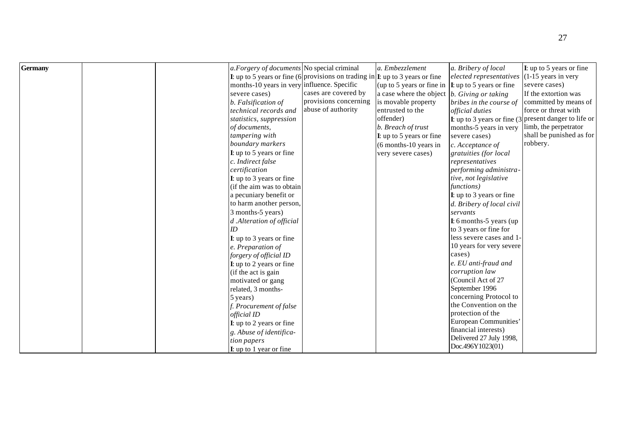| <b>Germany</b> | a. Forgery of documents No special criminal                                                           |                       | a. Embezzlement           | a. Bribery of local                             | $\bf{I}$ : up to 5 years or fine                        |
|----------------|-------------------------------------------------------------------------------------------------------|-----------------------|---------------------------|-------------------------------------------------|---------------------------------------------------------|
|                | <b>I</b> : up to 5 years or fine (6 provisions on trading in $\vert$ <b>I</b> : up to 3 years or fine |                       |                           | $elected$ representatives $(1-15$ years in very |                                                         |
|                | months-10 years in very influence. Specific                                                           | cases are covered by  | (up to 5 years or fine in | <b>I</b> : up to 5 years or fine                | severe cases)                                           |
|                | severe cases)                                                                                         |                       | a case where the object   | b. Giving or taking                             | If the extortion was                                    |
|                | b. Falsification of                                                                                   | provisions concerning | is movable property       | bribes in the course of                         | committed by means of                                   |
|                | technical records and                                                                                 | abuse of authority    | entrusted to the          | official duties                                 | force or threat with                                    |
|                | statistics, suppression                                                                               |                       | offender)                 |                                                 | I: up to 3 years or fine $(3$ present danger to life or |
|                | of documents,                                                                                         |                       | b. Breach of trust        | months-5 years in very                          | limb, the perpetrator                                   |
|                | tampering with                                                                                        |                       | I: up to 5 years or fine  | severe cases)                                   | shall be punished as for                                |
|                | boundary markers                                                                                      |                       | (6 months-10 years in     | c. Acceptance of                                | robbery.                                                |
|                | <b>I</b> : up to 5 years or fine                                                                      |                       | very severe cases)        | gratuities (for local                           |                                                         |
|                | c. Indirect false                                                                                     |                       |                           | representatives                                 |                                                         |
|                | certification                                                                                         |                       |                           | performing administra-                          |                                                         |
|                | I: up to 3 years or fine                                                                              |                       |                           | tive, not legislative                           |                                                         |
|                | (if the aim was to obtain                                                                             |                       |                           | functions)                                      |                                                         |
|                | a pecuniary benefit or                                                                                |                       |                           | I: up to 3 years or fine                        |                                                         |
|                | to harm another person,                                                                               |                       |                           | d. Bribery of local civil                       |                                                         |
|                | 3 months-5 years)                                                                                     |                       |                           | servants                                        |                                                         |
|                | d .Alteration of official                                                                             |                       |                           | $\mathbf{I}$ : 6 months-5 years (up             |                                                         |
|                |                                                                                                       |                       |                           | to 3 years or fine for                          |                                                         |
|                | <b>I</b> : up to 3 years or fine                                                                      |                       |                           | less severe cases and 1-                        |                                                         |
|                | e. Preparation of                                                                                     |                       |                           | 10 years for very severe                        |                                                         |
|                | forgery of official ID                                                                                |                       |                           | cases)                                          |                                                         |
|                | <b>I</b> : up to 2 years or fine                                                                      |                       |                           | e. EU anti-fraud and                            |                                                         |
|                | (if the act is gain                                                                                   |                       |                           | corruption law                                  |                                                         |
|                | motivated or gang                                                                                     |                       |                           | (Council Act of 27                              |                                                         |
|                | related, 3 months-                                                                                    |                       |                           | September 1996                                  |                                                         |
|                | 5 years)                                                                                              |                       |                           | concerning Protocol to                          |                                                         |
|                | f. Procurement of false                                                                               |                       |                           | the Convention on the                           |                                                         |
|                | official ID                                                                                           |                       |                           | protection of the                               |                                                         |
|                | I: up to 2 years or fine                                                                              |                       |                           | European Communities'                           |                                                         |
|                | g. Abuse of identifica-                                                                               |                       |                           | financial interests)                            |                                                         |
|                | tion papers                                                                                           |                       |                           | Delivered 27 July 1998,                         |                                                         |
|                | $\bf{I}$ : up to 1 year or fine                                                                       |                       |                           | Doc.496Y1023(01)                                |                                                         |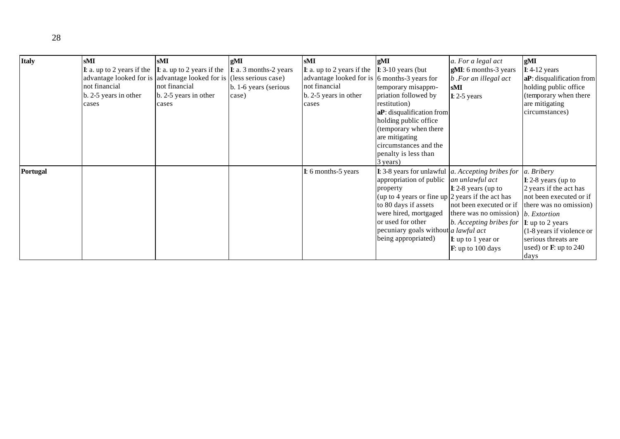| <b>Italy</b>    | sMI                     | sМI                                                                                               | gMI                            | sMI                                                                   | gMI                                                                                                                    | a. For a legal act                                 | gMI                                               |
|-----------------|-------------------------|---------------------------------------------------------------------------------------------------|--------------------------------|-----------------------------------------------------------------------|------------------------------------------------------------------------------------------------------------------------|----------------------------------------------------|---------------------------------------------------|
|                 |                         | <b>I:</b> a. up to 2 years if the $\begin{bmatrix} I: \mathbf{a} \end{bmatrix}$ to 2 years if the | $\bf{I}$ : a. 3 months-2 years | <b>I</b> : a. up to 2 years if the $\vert$ <b>I</b> : 3-10 years (but |                                                                                                                        | gMI: 6 months-3 years                              | $I: 4-12$ years                                   |
|                 |                         | advantage looked for is advantage looked for is (less serious case)                               |                                | advantage looked for is 6 months-3 years for                          |                                                                                                                        | b. For an illegal act                              | aP: disqualification from                         |
|                 | not financial           | not financial                                                                                     | b. 1-6 years (serious)         | not financial                                                         | temporary misappro-                                                                                                    | sMI                                                | holding public office                             |
|                 | $b. 2-5$ years in other | b. 2-5 years in other                                                                             | case)                          | b. 2-5 years in other                                                 | priation followed by                                                                                                   | $I: 2-5$ years                                     | (temporary when there                             |
|                 | cases                   | cases                                                                                             |                                | cases                                                                 | restitution)                                                                                                           |                                                    | are mitigating                                    |
|                 |                         |                                                                                                   |                                |                                                                       | aP: disqualification from                                                                                              |                                                    | circumstances)                                    |
|                 |                         |                                                                                                   |                                |                                                                       | holding public office                                                                                                  |                                                    |                                                   |
|                 |                         |                                                                                                   |                                |                                                                       | (temporary when there                                                                                                  |                                                    |                                                   |
|                 |                         |                                                                                                   |                                |                                                                       | are mitigating                                                                                                         |                                                    |                                                   |
|                 |                         |                                                                                                   |                                |                                                                       | circumstances and the                                                                                                  |                                                    |                                                   |
|                 |                         |                                                                                                   |                                |                                                                       | penalty is less than                                                                                                   |                                                    |                                                   |
|                 |                         |                                                                                                   |                                |                                                                       | 3 years)                                                                                                               |                                                    |                                                   |
| <b>Portugal</b> |                         |                                                                                                   |                                | I: 6 months-5 years                                                   | <b>I:</b> 3-8 years for unlawful $\alpha$ . Accepting bribes for<br>appropriation of public $ $ <i>an unlawful act</i> |                                                    | a. Bribery                                        |
|                 |                         |                                                                                                   |                                |                                                                       | property                                                                                                               |                                                    | $\bf{I}$ : 2-8 years (up to                       |
|                 |                         |                                                                                                   |                                |                                                                       | (up to 4 years or fine up $ 2$ years if the act has                                                                    | $\mathbf{I}$ : 2-8 years (up to                    | 2 years if the act has<br>not been executed or if |
|                 |                         |                                                                                                   |                                |                                                                       | to 80 days if assets                                                                                                   | not been executed or if there was no omission)     |                                                   |
|                 |                         |                                                                                                   |                                |                                                                       | were hired, mortgaged                                                                                                  | there was no omission) $\vert b.$ <i>Extortion</i> |                                                   |
|                 |                         |                                                                                                   |                                |                                                                       | or used for other                                                                                                      | b. Accepting bribes for $ I $ : up to 2 years      |                                                   |
|                 |                         |                                                                                                   |                                |                                                                       | pecuniary goals without a lawful act                                                                                   |                                                    | (1-8 years if violence or                         |
|                 |                         |                                                                                                   |                                |                                                                       | being appropriated)                                                                                                    | $\mathbf{I}$ : up to 1 year or                     | serious threats are                               |
|                 |                         |                                                                                                   |                                |                                                                       |                                                                                                                        | $\mathbf{F}$ : up to 100 days                      | used) or $\mathbf{F}$ : up to 240                 |
|                 |                         |                                                                                                   |                                |                                                                       |                                                                                                                        |                                                    | days                                              |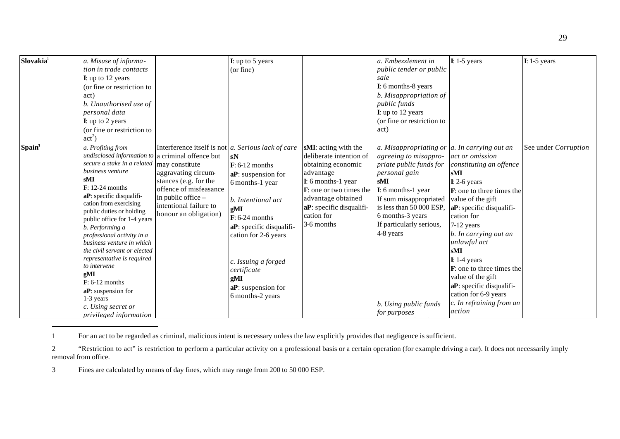| Slovakia <sup>1</sup> | a. Misuse of informa-<br>tion in trade contacts<br><b>I</b> : up to 12 years<br>(or fine or restriction to<br>(act)<br>b. Unauthorised use of<br>personal data<br><b>I</b> : up to 2 years<br>(or fine or restriction to<br>$act^2$                                                                                                                                                                                                                                                                                                                                                        |                                                                                                                                                                                                           | I: up to 5 years<br>(or fine)                                                                                                                                                                                                                                                   |                                                                                                                                                                                                                           | a. Embezzlement in<br>public tender or public<br>sale<br>I: 6 months-8 years<br>b. Misappropriation of<br>public funds<br>I: up to 12 years<br>(or fine or restriction to<br>act)                                                                                                    | $I: 1-5$ years                                                                                                                                                                                                                                                                                                                                                                                                                       | $I: 1-5$ years       |
|-----------------------|--------------------------------------------------------------------------------------------------------------------------------------------------------------------------------------------------------------------------------------------------------------------------------------------------------------------------------------------------------------------------------------------------------------------------------------------------------------------------------------------------------------------------------------------------------------------------------------------|-----------------------------------------------------------------------------------------------------------------------------------------------------------------------------------------------------------|---------------------------------------------------------------------------------------------------------------------------------------------------------------------------------------------------------------------------------------------------------------------------------|---------------------------------------------------------------------------------------------------------------------------------------------------------------------------------------------------------------------------|--------------------------------------------------------------------------------------------------------------------------------------------------------------------------------------------------------------------------------------------------------------------------------------|--------------------------------------------------------------------------------------------------------------------------------------------------------------------------------------------------------------------------------------------------------------------------------------------------------------------------------------------------------------------------------------------------------------------------------------|----------------------|
| Spain <sup>3</sup>    | a. Profiting from<br>undisclosed information to a criminal offence but<br>secure a stake in a related may constitute<br>business venture<br>sMI<br>$\mathbf{F}$ : 12-24 months<br>aP: specific disqualifi-<br>cation from exercising<br>public duties or holding<br>public office for 1-4 years<br>b. Performing a<br>professional activity in a<br>business venture in which<br>the civil servant or elected<br>representative is required<br>to intervene<br>gMI<br>$\mathbf{F}$ : 6-12 months<br>aP: suspension for<br>1-3 years<br>c. Using secret or<br><i>privileged information</i> | Interference itself is not $ a$ . Serious lack of care<br>aggravating circum-<br>stances (e.g. for the<br>offence of misfeasance<br>in public office -<br>intentional failure to<br>honour an obligation) | sN<br>$\mathbf{F}$ : 6-12 months<br>aP: suspension for<br>6 months-1 year<br>b. Intentional act<br>gMI<br>$\mathbf{F}$ : 6-24 months<br>aP: specific disqualifi-<br>cation for 2-6 years<br>c. Issuing a forged<br>certificate<br>gMI<br>aP: suspension for<br>6 months-2 years | sMI: acting with the<br>deliberate intention of<br>obtaining economic<br>advantage<br>I: 6 months-1 year<br>$\bf{F}$ : one or two times the<br>advantage obtained<br>aP: specific disqualifi-<br>cation for<br>3-6 months | a. Misappropriating or<br>agreeing to misappro-<br>priate public funds for<br>personal gain<br>sMI<br>I: 6 months-1 year<br>If sum misappropriated<br>is less than 50 000 ESP,<br>6 months-3 years<br>If particularly serious,<br>4-8 years<br>b. Using public funds<br>for purposes | a. In carrying out an<br>act or omission<br>constituting an offence<br>sMI<br>$I: 2-6$ years<br><b>F</b> : one to three times the<br>value of the gift<br>aP: specific disqualifi-<br>cation for<br>7-12 years<br>b. In carrying out an<br>unlawful act<br>sMI<br>$I: 1-4$ years<br>$\bf{F}$ : one to three times the<br>value of the gift<br>aP: specific disqualifi-<br>cation for 6-9 years<br>c. In refraining from an<br>action | See under Corruption |

ī 1 For an act to be regarded as criminal, malicious intent is necessary unless the law explicitly provides that negligence is sufficient.

3 Fines are calculated by means of day fines, which may range from 200 to 50 000 ESP.

<sup>2</sup> "Restriction to act" is restriction to perform a particular activity on a professional basis or a certain operation (for example driving a car). It does not necessarily imply removal from office.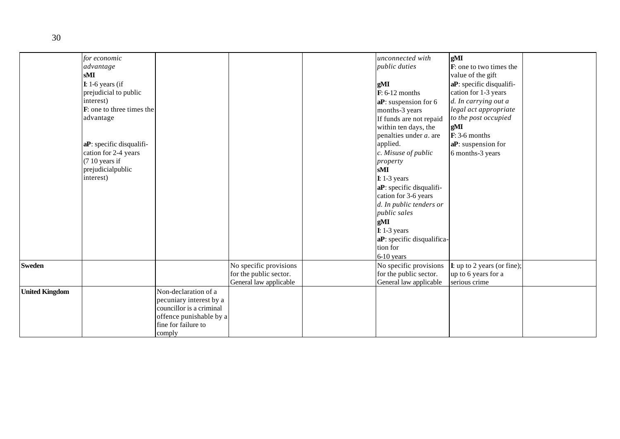|                       | for economic<br>advantage<br>sMI<br>$I: 1-6$ years (if<br>prejudicial to public<br>interest)<br>F: one to three times the<br>advantage<br>aP: specific disqualifi-<br>cation for 2-4 years<br>(7 10 years if<br>prejudicialpublic<br>interest) |                                                                                                                                         |                                                                            | unconnected with<br><i>public duties</i><br>gMI<br>$\mathbf{F}$ : 6-12 months<br>aP: suspension for 6<br>months-3 years<br>If funds are not repaid<br>within ten days, the<br>penalties under $a$ . are<br>applied.<br>c. Misuse of public<br>property<br>sMI<br>$I: 1-3$ years<br>aP: specific disqualifi-<br>cation for 3-6 years<br>d. In public tenders or<br>public sales<br>gMI<br>$I: 1-3$ years<br>aP: specific disqualifica-<br>tion for<br>6-10 years | gМI<br>F: one to two times the<br>value of the gift<br>aP: specific disqualifi-<br>cation for 1-3 years<br>d. In carrying out a<br>legal act appropriate<br>to the post occupied<br>gMI<br>$\mathbf{F}$ : 3-6 months<br>aP: suspension for<br>6 months-3 years |  |
|-----------------------|------------------------------------------------------------------------------------------------------------------------------------------------------------------------------------------------------------------------------------------------|-----------------------------------------------------------------------------------------------------------------------------------------|----------------------------------------------------------------------------|-----------------------------------------------------------------------------------------------------------------------------------------------------------------------------------------------------------------------------------------------------------------------------------------------------------------------------------------------------------------------------------------------------------------------------------------------------------------|----------------------------------------------------------------------------------------------------------------------------------------------------------------------------------------------------------------------------------------------------------------|--|
| Sweden                |                                                                                                                                                                                                                                                |                                                                                                                                         | No specific provisions<br>for the public sector.<br>General law applicable | No specific provisions<br>for the public sector.<br>General law applicable                                                                                                                                                                                                                                                                                                                                                                                      | $I:$ up to 2 years (or fine);<br>up to 6 years for a<br>serious crime                                                                                                                                                                                          |  |
| <b>United Kingdom</b> |                                                                                                                                                                                                                                                | Non-declaration of a<br>pecuniary interest by a<br>councillor is a criminal<br>offence punishable by a<br>fine for failure to<br>comply |                                                                            |                                                                                                                                                                                                                                                                                                                                                                                                                                                                 |                                                                                                                                                                                                                                                                |  |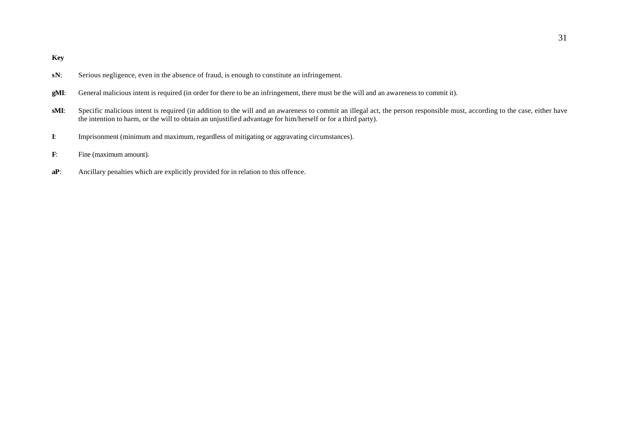**Key**

- **sN:** Serious negligence, even in the absence of fraud, is enough to constitute an infringement.
- **gMI**: General malicious intent is required (in order for there to be an infringement, there must be the will and an awareness to commit it).
- **sMI**: Specific malicious intent is required (in addition to the will and an awareness to commit an illegal act, the person responsible must, according to the case, either have the intention to harm, or the will to obtain an unjustified advantage for him/herself or for a third party).
- **I**: Imprisonment (minimum and maximum, regardless of mitigating or aggravating circumstances).
- **F**: Fine (maximum amount).
- **aP**: Ancillary penalties which are explicitly provided for in relation to this offence.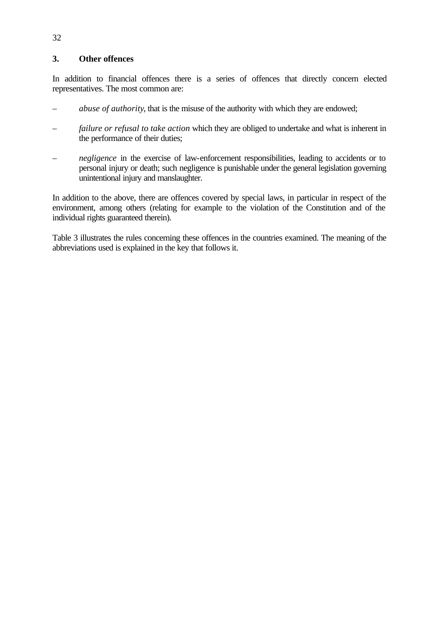## **3. Other offences**

In addition to financial offences there is a series of offences that directly concern elected representatives. The most common are:

- *– abuse of authority*, that is the misuse of the authority with which they are endowed;
- *failure or refusal to take action* which they are obliged to undertake and what is inherent in the performance of their duties;
- *negligence* in the exercise of law-enforcement responsibilities, leading to accidents or to personal injury or death; such negligence is punishable under the general legislation governing unintentional injury and manslaughter.

In addition to the above, there are offences covered by special laws, in particular in respect of the environment, among others (relating for example to the violation of the Constitution and of the individual rights guaranteed therein).

Table 3 illustrates the rules concerning these offences in the countries examined. The meaning of the abbreviations used is explained in the key that follows it.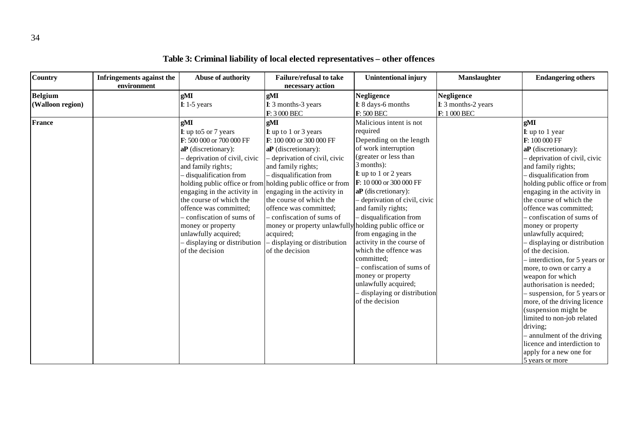| <b>Country</b>                     | Infringements against the<br>environment | Abuse of authority                                                                                                                                                                                                                                                                                                                                                                       | <b>Failure/refusal to take</b><br>necessary action                                                                                                                                                                                                                                                                                                                                                                                                                                 | <b>Unintentional injury</b>                                                                                                                                                                                                                                                                                                                                                                                                                                                                                      | Manslaughter                                             | <b>Endangering others</b>                                                                                                                                                                                                                                                                                                                                                                                                                                                                                                                                                                                                                                                                                                                                   |
|------------------------------------|------------------------------------------|------------------------------------------------------------------------------------------------------------------------------------------------------------------------------------------------------------------------------------------------------------------------------------------------------------------------------------------------------------------------------------------|------------------------------------------------------------------------------------------------------------------------------------------------------------------------------------------------------------------------------------------------------------------------------------------------------------------------------------------------------------------------------------------------------------------------------------------------------------------------------------|------------------------------------------------------------------------------------------------------------------------------------------------------------------------------------------------------------------------------------------------------------------------------------------------------------------------------------------------------------------------------------------------------------------------------------------------------------------------------------------------------------------|----------------------------------------------------------|-------------------------------------------------------------------------------------------------------------------------------------------------------------------------------------------------------------------------------------------------------------------------------------------------------------------------------------------------------------------------------------------------------------------------------------------------------------------------------------------------------------------------------------------------------------------------------------------------------------------------------------------------------------------------------------------------------------------------------------------------------------|
| <b>Belgium</b><br>(Walloon region) |                                          | gMI<br>$I: 1-5$ years                                                                                                                                                                                                                                                                                                                                                                    | gМI<br>I: 3 months-3 years<br>F: 3 000 BEC                                                                                                                                                                                                                                                                                                                                                                                                                                         | <b>Negligence</b><br>I: 8 days-6 months<br>F: 500 BEC                                                                                                                                                                                                                                                                                                                                                                                                                                                            | <b>Negligence</b><br>I: 3 months-2 years<br>F: 1 000 BEC |                                                                                                                                                                                                                                                                                                                                                                                                                                                                                                                                                                                                                                                                                                                                                             |
| <b>France</b>                      |                                          | gMI<br><b>I</b> : up to 5 or 7 years<br>F: 500 000 or 700 000 FF<br>$aP$ (discretionary):<br>deprivation of civil, civic<br>and family rights;<br>- disqualification from<br>engaging in the activity in<br>the course of which the<br>offence was committed;<br>- confiscation of sums of<br>money or property<br>unlawfully acquired;<br>displaying or distribution<br>of the decision | gМI<br><b>I</b> : up to 1 or 3 years<br>F: 100 000 or 300 000 FF<br>aP (discretionary):<br>- deprivation of civil, civic<br>and family rights;<br>- disqualification from<br>holding public office or from holding public office or from<br>engaging in the activity in<br>the course of which the<br>offence was committed;<br>- confiscation of sums of<br>money or property unlawfully holding public office or<br>acquired;<br>- displaying or distribution<br>of the decision | Malicious intent is not<br>required<br>Depending on the length<br>of work interruption<br>(greater or less than<br>3 months):<br>I: up to 1 or 2 years<br>F: 10 000 or 300 000 FF<br>$aP$ (dis cretionary):<br>deprivation of civil, civic<br>and family rights;<br>- disqualification from<br>from engaging in the<br>activity in the course of<br>which the offence was<br>committed;<br>confiscation of sums of<br>money or property<br>unlawfully acquired;<br>displaying or distribution<br>of the decision |                                                          | gMI<br>I: up to 1 year<br>F: 100 000 FF<br>aP (discretionary):<br>- deprivation of civil, civic<br>and family rights;<br>- disqualification from<br>holding public office or from<br>engaging in the activity in<br>the course of which the<br>offence was committed;<br>- confiscation of sums of<br>money or property<br>unlawfully acquired;<br>displaying or distribution<br>of the decision.<br>- interdiction, for 5 years or<br>more, to own or carry a<br>weapon for which<br>authorisation is needed;<br>- suspension, for 5 years or<br>more, of the driving licence<br>(suspension might be<br>limited to non-job related<br>driving;<br>- annulment of the driving<br>licence and interdiction to<br>apply for a new one for<br>5 years or more |

**Table 3: Criminal liability of local elected representatives – other offences**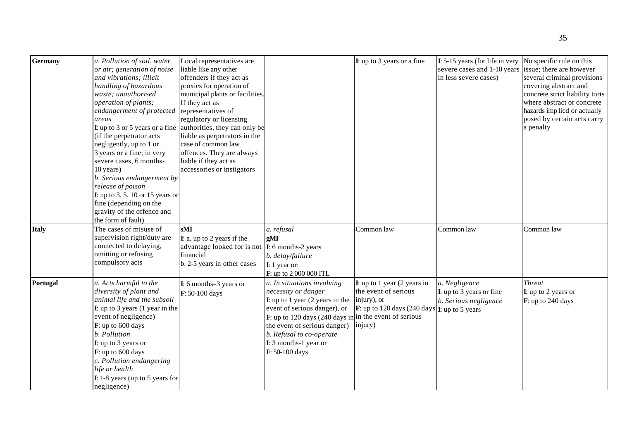| <b>Germany</b> | a. Pollution of soil, water<br>or air; generation of noise<br>and vibrations; illicit<br>handling of hazardous<br>waste; unauthorised<br>operation of plants;<br>endangerment of protected<br>areas<br>(if the perpetrator acts)<br>negligently, up to 1 or<br>3 years or a fine; in very<br>severe cases, 6 months-<br>10 years)<br>b. Serious endangerment by<br>release of poison<br><b>I:</b> up to 3, 5, 10 or 15 years or<br>fine (depending on the<br>gravity of the offence and<br>the form of fault) | Local representatives are<br>liable like any other<br>offenders if they act as<br>proxies for operation of<br>municipal plants or facilities.<br>If they act as<br>representatives of<br>regulatory or licensing<br><b>I</b> : up to 3 or 5 years or a fine authorities, they can only be<br>liable as perpetrators in the<br>case of common law<br>offences. They are always<br>liable if they act as<br>accessories or instigators |                                                                                                                                                                                                                                                                                                                                    | $\bf{I}$ : up to 3 years or a fine                                                                                                     | I: 5-15 years (for life in very<br>severe cases and 1-10 years<br>in less severe cases) | No specific rule on this<br>issue; there are however<br>several criminal provisions<br>covering abstract and<br>concrete strict liability torts<br>where abstract or concrete<br>hazards implied or actually<br>posed by certain acts carry<br>a penalty |
|----------------|---------------------------------------------------------------------------------------------------------------------------------------------------------------------------------------------------------------------------------------------------------------------------------------------------------------------------------------------------------------------------------------------------------------------------------------------------------------------------------------------------------------|--------------------------------------------------------------------------------------------------------------------------------------------------------------------------------------------------------------------------------------------------------------------------------------------------------------------------------------------------------------------------------------------------------------------------------------|------------------------------------------------------------------------------------------------------------------------------------------------------------------------------------------------------------------------------------------------------------------------------------------------------------------------------------|----------------------------------------------------------------------------------------------------------------------------------------|-----------------------------------------------------------------------------------------|----------------------------------------------------------------------------------------------------------------------------------------------------------------------------------------------------------------------------------------------------------|
| <b>Italy</b>   | The cases of misuse of<br>supervision right/duty are<br>connected to delaying,<br>omitting or refusing<br>compulsory acts                                                                                                                                                                                                                                                                                                                                                                                     | sMI<br>I: a. up to 2 years if the<br>advantage looked for is not<br>financial<br>b. 2-5 years in other cases                                                                                                                                                                                                                                                                                                                         | a. refusal<br>gMI<br>I: 6 months-2 years<br>b. delay/failure<br>I: 1 year or:<br>F: up to 2 000 000 ITL                                                                                                                                                                                                                            | Common law                                                                                                                             | Common law                                                                              | Common law                                                                                                                                                                                                                                               |
| Portugal       | a. Acts harmful to the<br>diversity of plant and<br>animal life and the subsoil<br><b>I:</b> up to 3 years $(1$ year in the<br>event of negligence)<br>F: up to 600 days<br>b. Pollution<br>I: up to 3 years or<br>F: up to 600 days<br>c. Pollution endangering<br>life or health<br>$I: 1-8$ years (up to 5 years for<br>negligence)                                                                                                                                                                        | I: 6 months-3 years or<br>F: 50-100 days                                                                                                                                                                                                                                                                                                                                                                                             | a. In situations involving<br>necessity or danger<br><b>I</b> : up to 1 year (2 years in the $\vert$ injury), or<br>event of serious danger), or<br>$\bf{F}$ : up to 120 days (240 days in in the event of serious<br>the event of serious danger) [injury)<br>b. Refusal to co-operate<br>I: 3 months-1 year or<br>F: 50-100 days | <b>I</b> : up to 1 year $(2 \text{ years in})$<br>the event of serious<br><b>F</b> : up to 120 days (240 days <b>I</b> : up to 5 years | a. Negligence<br>I: up to 3 years or fine<br>b. Serious negligence                      | <b>Threat</b><br>I: up to 2 years or<br>F: up to 240 days                                                                                                                                                                                                |

35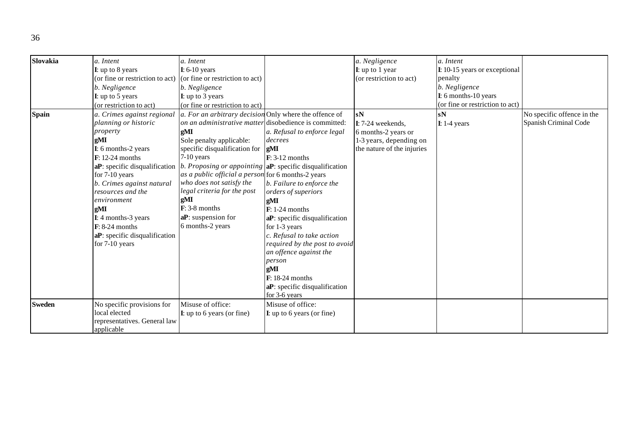| Slovakia      | a. Intent                       | a. Intent                                              |                                                              | a. Negligence               | a. Intent                       |                            |
|---------------|---------------------------------|--------------------------------------------------------|--------------------------------------------------------------|-----------------------------|---------------------------------|----------------------------|
|               | I: up to 8 years                | $I: 6-10$ years                                        |                                                              | $\mathbf{I}$ : up to 1 year | I: 10-15 years or exceptional   |                            |
|               | (or fine or restriction to act) | (or fine or restriction to act)                        |                                                              | (or restriction to act)     | penalty                         |                            |
|               | b. Negligence                   | b. Negligence                                          |                                                              |                             | b. Negligence                   |                            |
|               | I: up to 5 years                | <b>I</b> : up to 3 years                               |                                                              |                             | I: 6 months-10 years            |                            |
|               | (or restriction to act)         | (or fine or restriction to act)                        |                                                              |                             | (or fine or restriction to act) |                            |
| <b>Spain</b>  | a. Crimes against regional      | a. For an arbitrary decision Only where the offence of |                                                              | sN                          | sN                              | No specific offence in the |
|               | planning or historic            | on an administrative matter disobedience is committed: |                                                              | $I: 7-24$ weekends,         | $I: 1-4$ years                  | Spanish Criminal Code      |
|               | property                        | gMI                                                    | a. Refusal to enforce legal                                  | 6 months-2 years or         |                                 |                            |
|               | gМI                             | Sole penalty applicable:                               | decrees                                                      | 1-3 years, depending on     |                                 |                            |
|               | I: 6 months-2 years             | specific disqualification for                          | gMI                                                          | the nature of the injuries  |                                 |                            |
|               | $F: 12-24$ months               | $7-10$ years                                           | $F: 3-12$ months                                             |                             |                                 |                            |
|               | aP: specific disqualification   |                                                        | b. Proposing or appointing $ aP$ : specific disqualification |                             |                                 |                            |
|               | for 7-10 years                  | as a public official a person for 6 months-2 years     |                                                              |                             |                                 |                            |
|               | b. Crimes against natural       | who does not satisfy the                               | b. Failure to enforce the                                    |                             |                                 |                            |
|               | resources and the               | legal criteria for the post                            | orders of superiors                                          |                             |                                 |                            |
|               | environment                     | gMI                                                    | gMI                                                          |                             |                                 |                            |
|               | gMI                             | $F: 3-8$ months                                        | $F: 1-24$ months                                             |                             |                                 |                            |
|               | I: 4 months-3 years             | aP: suspension for                                     | aP: specific disqualification                                |                             |                                 |                            |
|               | $\mathbf{F}$ : 8-24 months      | 6 months-2 years                                       | for 1-3 years                                                |                             |                                 |                            |
|               | aP: specific disqualification   |                                                        | c. Refusal to take action                                    |                             |                                 |                            |
|               | for 7-10 years                  |                                                        | required by the post to avoid                                |                             |                                 |                            |
|               |                                 |                                                        | an offence against the                                       |                             |                                 |                            |
|               |                                 |                                                        | person                                                       |                             |                                 |                            |
|               |                                 |                                                        | gMI                                                          |                             |                                 |                            |
|               |                                 |                                                        | $F: 18-24$ months                                            |                             |                                 |                            |
|               |                                 |                                                        | aP: specific disqualification                                |                             |                                 |                            |
|               |                                 |                                                        | for 3-6 years                                                |                             |                                 |                            |
| <b>Sweden</b> | No specific provisions for      | Misuse of office:                                      | Misuse of office:                                            |                             |                                 |                            |
|               | local elected                   | $\bf{I}$ : up to 6 years (or fine)                     | $I$ : up to 6 years (or fine)                                |                             |                                 |                            |
|               | representatives. General law    |                                                        |                                                              |                             |                                 |                            |
|               | applicable                      |                                                        |                                                              |                             |                                 |                            |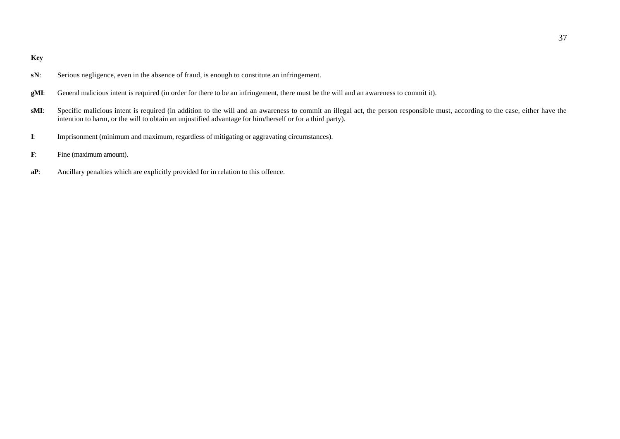**Key**

- **sN:** Serious negligence, even in the absence of fraud, is enough to constitute an infringement.
- **gMI**: General malicious intent is required (in order for there to be an infringement, there must be the will and an awareness to commit it).
- **sMI**: Specific malicious intent is required (in addition to the will and an awareness to commit an illegal act, the person responsible must, according to the case, either have the intention to harm, or the will to obtain an unjustified advantage for him/herself or for a third party).
- **I**: Imprisonment (minimum and maximum, regardless of mitigating or aggravating circumstances).
- **F**: Fine (maximum amount).
- **aP**: Ancillary penalties which are explicitly provided for in relation to this offence.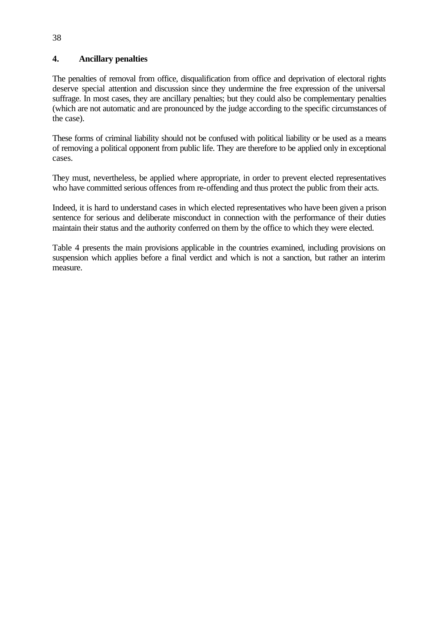# **4. Ancillary penalties**

The penalties of removal from office, disqualification from office and deprivation of electoral rights deserve special attention and discussion since they undermine the free expression of the universal suffrage. In most cases, they are ancillary penalties; but they could also be complementary penalties (which are not automatic and are pronounced by the judge according to the specific circumstances of the case).

These forms of criminal liability should not be confused with political liability or be used as a means of removing a political opponent from public life. They are therefore to be applied only in exceptional cases.

They must, nevertheless, be applied where appropriate, in order to prevent elected representatives who have committed serious offences from re-offending and thus protect the public from their acts.

Indeed, it is hard to understand cases in which elected representatives who have been given a prison sentence for serious and deliberate misconduct in connection with the performance of their duties maintain their status and the authority conferred on them by the office to which they were elected.

Table 4 presents the main provisions applicable in the countries examined, including provisions on suspension which applies before a final verdict and which is not a sanction, but rather an interim measure.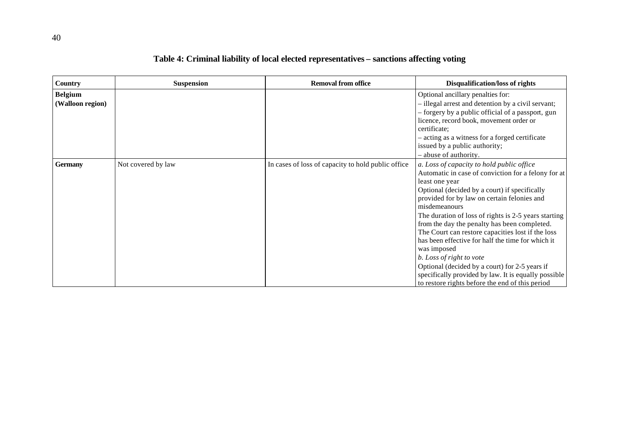| <b>Country</b>                     | <b>Suspension</b>  | <b>Removal from office</b>                         | <b>Disqualification/loss of rights</b>                                                                                                                                                                                                                                                                                                                                                                                                                                                                                                                                                                                                                        |
|------------------------------------|--------------------|----------------------------------------------------|---------------------------------------------------------------------------------------------------------------------------------------------------------------------------------------------------------------------------------------------------------------------------------------------------------------------------------------------------------------------------------------------------------------------------------------------------------------------------------------------------------------------------------------------------------------------------------------------------------------------------------------------------------------|
| <b>Belgium</b><br>(Walloon region) |                    |                                                    | Optional ancillary penalties for:<br>- illegal arrest and detention by a civil servant;<br>- forgery by a public official of a passport, gun<br>licence, record book, movement order or<br>certificate;<br>- acting as a witness for a forged certificate<br>issued by a public authority;<br>- abuse of authority.                                                                                                                                                                                                                                                                                                                                           |
| <b>Germany</b>                     | Not covered by law | In cases of loss of capacity to hold public office | a. Loss of capacity to hold public office<br>Automatic in case of conviction for a felony for at<br>least one year<br>Optional (decided by a court) if specifically<br>provided for by law on certain felonies and<br>misdemeanours<br>The duration of loss of rights is 2-5 years starting<br>from the day the penalty has been completed.<br>The Court can restore capacities lost if the loss<br>has been effective for half the time for which it<br>was imposed<br>b. Loss of right to vote<br>Optional (decided by a court) for 2-5 years if<br>specifically provided by law. It is equally possible<br>to restore rights before the end of this period |

# **Table 4: Criminal liability of local elected representatives – sanctions affecting voting**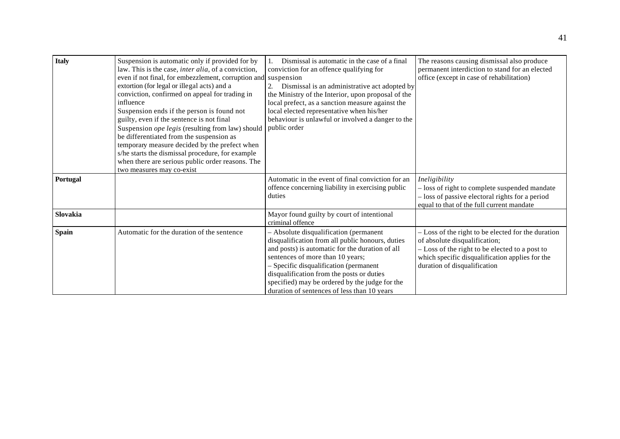| <b>Italy</b> | Suspension is automatic only if provided for by<br>law. This is the case, inter alia, of a conviction,<br>even if not final, for embezzlement, corruption and suspension<br>extortion (for legal or illegal acts) and a<br>conviction, confirmed on appeal for trading in<br>influence<br>Suspension ends if the person is found not<br>guilty, even if the sentence is not final<br>Suspension ope legis (resulting from law) should<br>be differentiated from the suspension as<br>temporary measure decided by the prefect when<br>s/he starts the dismissal procedure, for example<br>when there are serious public order reasons. The<br>two measures may co-exist | Dismissal is automatic in the case of a final<br>conviction for an offence qualifying for<br>Dismissal is an administrative act adopted by<br>the Ministry of the Interior, upon proposal of the<br>local prefect, as a sanction measure against the<br>local elected representative when his/her<br>behaviour is unlawful or involved a danger to the<br>public order    | The reasons causing dismissal also produce<br>permanent interdiction to stand for an elected<br>office (except in case of rehabilitation)                                                                                |
|--------------|-------------------------------------------------------------------------------------------------------------------------------------------------------------------------------------------------------------------------------------------------------------------------------------------------------------------------------------------------------------------------------------------------------------------------------------------------------------------------------------------------------------------------------------------------------------------------------------------------------------------------------------------------------------------------|---------------------------------------------------------------------------------------------------------------------------------------------------------------------------------------------------------------------------------------------------------------------------------------------------------------------------------------------------------------------------|--------------------------------------------------------------------------------------------------------------------------------------------------------------------------------------------------------------------------|
| Portugal     |                                                                                                                                                                                                                                                                                                                                                                                                                                                                                                                                                                                                                                                                         | Automatic in the event of final conviction for an<br>offence concerning liability in exercising public<br>duties                                                                                                                                                                                                                                                          | Ineligibility<br>- loss of right to complete suspended mandate<br>- loss of passive electoral rights for a period<br>equal to that of the full current mandate                                                           |
| Slovakia     |                                                                                                                                                                                                                                                                                                                                                                                                                                                                                                                                                                                                                                                                         | Mayor found guilty by court of intentional<br>criminal offence                                                                                                                                                                                                                                                                                                            |                                                                                                                                                                                                                          |
| <b>Spain</b> | Automatic for the duration of the sentence                                                                                                                                                                                                                                                                                                                                                                                                                                                                                                                                                                                                                              | - Absolute disqualification (permanent<br>disqualification from all public honours, duties<br>and posts) is automatic for the duration of all<br>sentences of more than 10 years;<br>- Specific disqualification (permanent<br>disqualification from the posts or duties<br>specified) may be ordered by the judge for the<br>duration of sentences of less than 10 years | - Loss of the right to be elected for the duration<br>of absolute disqualification;<br>- Loss of the right to be elected to a post to<br>which specific disqualification applies for the<br>duration of disqualification |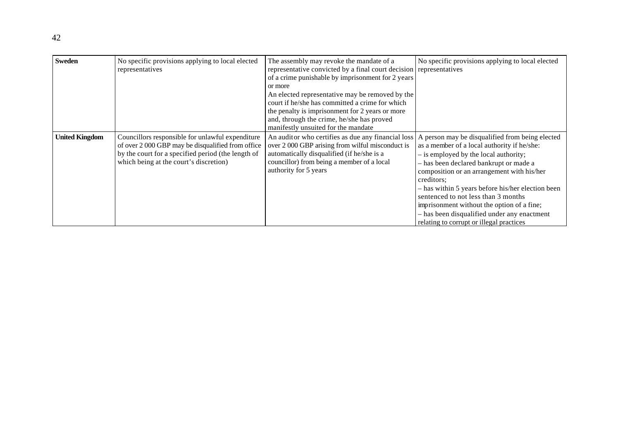| <b>Sweden</b>         | No specific provisions applying to local elected<br>representatives                                                                                                                                   | The assembly may revoke the mandate of a<br>representative convicted by a final court decision representatives<br>of a crime punishable by imprisonment for 2 years<br>or more<br>An elected representative may be removed by the<br>court if he/she has committed a crime for which<br>the penalty is imprisonment for 2 years or more<br>and, through the crime, he/she has proved<br>manifestly unsuited for the mandate | No specific provisions applying to local elected                                                                                                                                                                                                                                                                                                                                                                                |
|-----------------------|-------------------------------------------------------------------------------------------------------------------------------------------------------------------------------------------------------|-----------------------------------------------------------------------------------------------------------------------------------------------------------------------------------------------------------------------------------------------------------------------------------------------------------------------------------------------------------------------------------------------------------------------------|---------------------------------------------------------------------------------------------------------------------------------------------------------------------------------------------------------------------------------------------------------------------------------------------------------------------------------------------------------------------------------------------------------------------------------|
| <b>United Kingdom</b> | Councillors responsible for unlawful expenditure<br>of over 2 000 GBP may be disqualified from office<br>by the court for a specified period (the length of<br>which being at the court's discretion) | An auditor who certifies as due any financial loss A person may be disqualified from being elected<br>over 2 000 GBP arising from wilful misconduct is<br>automatically disqualified (if he/she is a<br>councillor) from being a member of a local<br>authority for 5 years                                                                                                                                                 | as a member of a local authority if he/she:<br>- is employed by the local authority;<br>- has been declared bankrupt or made a<br>composition or an arrangement with his/her<br>creditors;<br>- has within 5 years before his/her election been<br>sentenced to not less than 3 months<br>imprisonment without the option of a fine;<br>- has been disqualified under any enactment<br>relating to corrupt or illegal practices |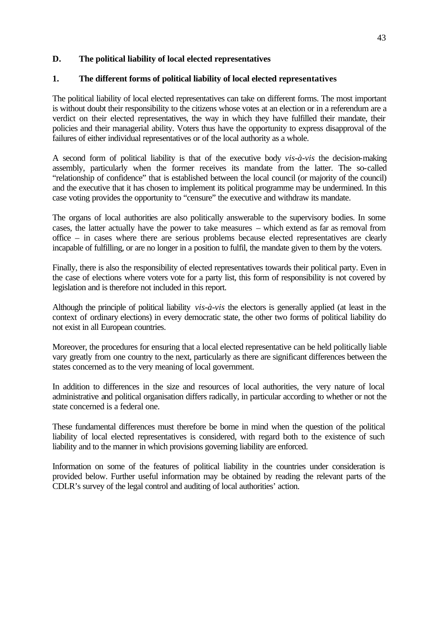### **D. The political liability of local elected representatives**

### **1. The different forms of political liability of local elected representatives**

The political liability of local elected representatives can take on different forms. The most important is without doubt their responsibility to the citizens whose votes at an election or in a referendum are a verdict on their elected representatives, the way in which they have fulfilled their mandate, their policies and their managerial ability. Voters thus have the opportunity to express disapproval of the failures of either individual representatives or of the local authority as a whole.

A second form of political liability is that of the executive body *vis-à-vis* the decision-making assembly, particularly when the former receives its mandate from the latter. The so-called "relationship of confidence" that is established between the local council (or majority of the council) and the executive that it has chosen to implement its political programme may be undermined. In this case voting provides the opportunity to "censure" the executive and withdraw its mandate.

The organs of local authorities are also politically answerable to the supervisory bodies. In some cases, the latter actually have the power to take measures – which extend as far as removal from office – in cases where there are serious problems because elected representatives are clearly incapable of fulfilling, or are no longer in a position to fulfil, the mandate given to them by the voters.

Finally, there is also the responsibility of elected representatives towards their political party. Even in the case of elections where voters vote for a party list, this form of responsibility is not covered by legislation and is therefore not included in this report.

Although the principle of political liability *vis-à-vis* the electors is generally applied (at least in the context of ordinary elections) in every democratic state, the other two forms of political liability do not exist in all European countries.

Moreover, the procedures for ensuring that a local elected representative can be held politically liable vary greatly from one country to the next, particularly as there are significant differences between the states concerned as to the very meaning of local government.

In addition to differences in the size and resources of local authorities, the very nature of local administrative and political organisation differs radically, in particular according to whether or not the state concerned is a federal one.

These fundamental differences must therefore be borne in mind when the question of the political liability of local elected representatives is considered, with regard both to the existence of such liability and to the manner in which provisions governing liability are enforced.

Information on some of the features of political liability in the countries under consideration is provided below. Further useful information may be obtained by reading the relevant parts of the CDLR's survey of the legal control and auditing of local authorities' action.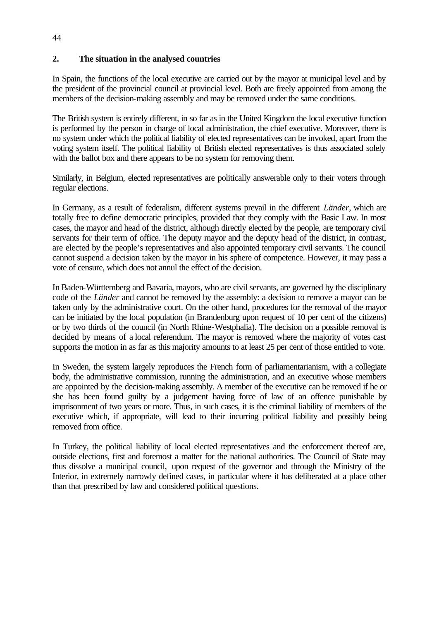# **2. The situation in the analysed countries**

In Spain, the functions of the local executive are carried out by the mayor at municipal level and by the president of the provincial council at provincial level. Both are freely appointed from among the members of the decision-making assembly and may be removed under the same conditions.

The British system is entirely different, in so far as in the United Kingdom the local executive function is performed by the person in charge of local administration, the chief executive. Moreover, there is no system under which the political liability of elected representatives can be invoked, apart from the voting system itself. The political liability of British elected representatives is thus associated solely with the ballot box and there appears to be no system for removing them.

Similarly, in Belgium, elected representatives are politically answerable only to their voters through regular elections.

In Germany, as a result of federalism, different systems prevail in the different *Länder*, which are totally free to define democratic principles, provided that they comply with the Basic Law. In most cases, the mayor and head of the district, although directly elected by the people, are temporary civil servants for their term of office. The deputy mayor and the deputy head of the district, in contrast, are elected by the people's representatives and also appointed temporary civil servants. The council cannot suspend a decision taken by the mayor in his sphere of competence. However, it may pass a vote of censure, which does not annul the effect of the decision.

In Baden-Württemberg and Bavaria, mayors, who are civil servants, are governed by the disciplinary code of the *Länder* and cannot be removed by the assembly: a decision to remove a mayor can be taken only by the administrative court. On the other hand, procedures for the removal of the mayor can be initiated by the local population (in Brandenburg upon request of 10 per cent of the citizens) or by two thirds of the council (in North Rhine-Westphalia). The decision on a possible removal is decided by means of a local referendum. The mayor is removed where the majority of votes cast supports the motion in as far as this majority amounts to at least 25 per cent of those entitled to vote.

In Sweden, the system largely reproduces the French form of parliamentarianism, with a collegiate body, the administrative commission, running the administration, and an executive whose members are appointed by the decision-making assembly. A member of the executive can be removed if he or she has been found guilty by a judgement having force of law of an offence punishable by imprisonment of two years or more. Thus, in such cases, it is the criminal liability of members of the executive which, if appropriate, will lead to their incurring political liability and possibly being removed from office.

In Turkey, the political liability of local elected representatives and the enforcement thereof are, outside elections, first and foremost a matter for the national authorities. The Council of State may thus dissolve a municipal council, upon request of the governor and through the Ministry of the Interior, in extremely narrowly defined cases, in particular where it has deliberated at a place other than that prescribed by law and considered political questions.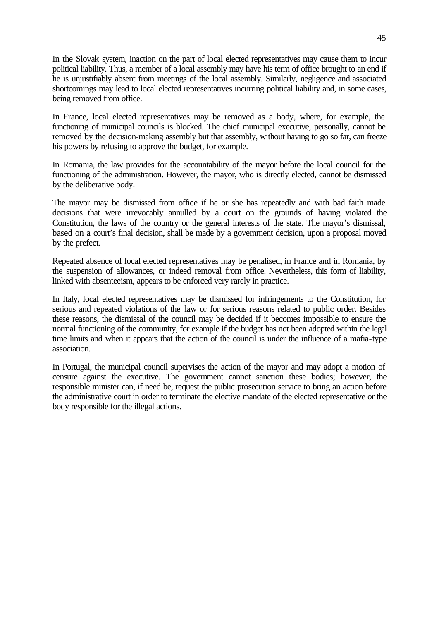In the Slovak system, inaction on the part of local elected representatives may cause them to incur political liability. Thus, a member of a local assembly may have his term of office brought to an end if he is unjustifiably absent from meetings of the local assembly. Similarly, negligence and associated shortcomings may lead to local elected representatives incurring political liability and, in some cases, being removed from office.

In France, local elected representatives may be removed as a body, where, for example, the functioning of municipal councils is blocked. The chief municipal executive, personally, cannot be removed by the decision-making assembly but that assembly, without having to go so far, can freeze his powers by refusing to approve the budget, for example.

In Romania, the law provides for the accountability of the mayor before the local council for the functioning of the administration. However, the mayor, who is directly elected, cannot be dismissed by the deliberative body.

The mayor may be dismissed from office if he or she has repeatedly and with bad faith made decisions that were irrevocably annulled by a court on the grounds of having violated the Constitution, the laws of the country or the general interests of the state. The mayor's dismissal, based on a court's final decision, shall be made by a government decision, upon a proposal moved by the prefect.

Repeated absence of local elected representatives may be penalised, in France and in Romania, by the suspension of allowances, or indeed removal from office. Nevertheless, this form of liability, linked with absenteeism, appears to be enforced very rarely in practice.

In Italy, local elected representatives may be dismissed for infringements to the Constitution, for serious and repeated violations of the law or for serious reasons related to public order. Besides these reasons, the dismissal of the council may be decided if it becomes impossible to ensure the normal functioning of the community, for example if the budget has not been adopted within the legal time limits and when it appears that the action of the council is under the influence of a mafia-type association.

In Portugal, the municipal council supervises the action of the mayor and may adopt a motion of censure against the executive. The government cannot sanction these bodies; however, the responsible minister can, if need be, request the public prosecution service to bring an action before the administrative court in order to terminate the elective mandate of the elected representative or the body responsible for the illegal actions.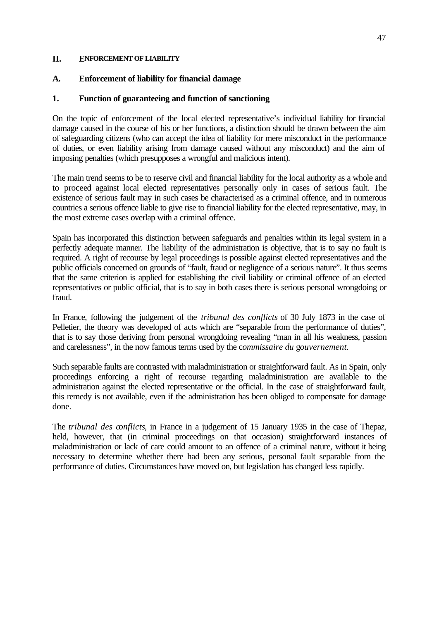#### **II. ENFORCEMENT OF LIABILITY**

#### **A. Enforcement of liability for financial damage**

#### **1. Function of guaranteeing and function of sanctioning**

On the topic of enforcement of the local elected representative's individual liability for financial damage caused in the course of his or her functions, a distinction should be drawn between the aim of safeguarding citizens (who can accept the idea of liability for mere misconduct in the performance of duties, or even liability arising from damage caused without any misconduct) and the aim of imposing penalties (which presupposes a wrongful and malicious intent).

The main trend seems to be to reserve civil and financial liability for the local authority as a whole and to proceed against local elected representatives personally only in cases of serious fault. The existence of serious fault may in such cases be characterised as a criminal offence, and in numerous countries a serious offence liable to give rise to financial liability for the elected representative, may, in the most extreme cases overlap with a criminal offence.

Spain has incorporated this distinction between safeguards and penalties within its legal system in a perfectly adequate manner. The liability of the administration is objective, that is to say no fault is required. A right of recourse by legal proceedings is possible against elected representatives and the public officials concerned on grounds of "fault, fraud or negligence of a serious nature". It thus seems that the same criterion is applied for establishing the civil liability or criminal offence of an elected representatives or public official, that is to say in both cases there is serious personal wrongdoing or fraud.

In France, following the judgement of the *tribunal des conflicts* of 30 July 1873 in the case of Pelletier, the theory was developed of acts which are "separable from the performance of duties", that is to say those deriving from personal wrongdoing revealing "man in all his weakness, passion and carelessness", in the now famous terms used by the c*ommissaire du* g*ouvernement.*

Such separable faults are contrasted with maladministration or straightforward fault. As in Spain, only proceedings enforcing a right of recourse regarding maladministration are available to the administration against the elected representative or the official. In the case of straightforward fault, this remedy is not available, even if the administration has been obliged to compensate for damage done.

The *tribunal des conflicts*, in France in a judgement of 15 January 1935 in the case of Thepa*z,* held, however, that (in criminal proceedings on that occasion) straightforward instances of maladministration or lack of care could amount to an offence of a criminal nature, without it being necessary to determine whether there had been any serious, personal fault separable from the performance of duties. Circumstances have moved on, but legislation has changed less rapidly.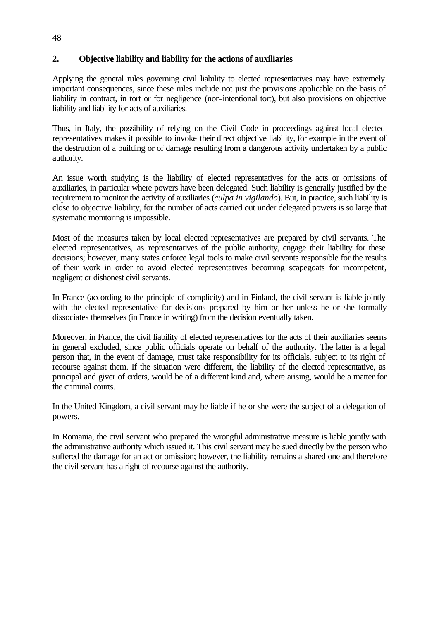### **2. Objective liability and liability for the actions of auxiliaries**

48

Applying the general rules governing civil liability to elected representatives may have extremely important consequences, since these rules include not just the provisions applicable on the basis of liability in contract, in tort or for negligence (non-intentional tort), but also provisions on objective liability and liability for acts of auxiliaries.

Thus, in Italy, the possibility of relying on the Civil Code in proceedings against local elected representatives makes it possible to invoke their direct objective liability, for example in the event of the destruction of a building or of damage resulting from a dangerous activity undertaken by a public authority.

An issue worth studying is the liability of elected representatives for the acts or omissions of auxiliaries, in particular where powers have been delegated. Such liability is generally justified by the requirement to monitor the activity of auxiliaries (*culpa in vigilando*). But, in practice, such liability is close to objective liability, for the number of acts carried out under delegated powers is so large that systematic monitoring is impossible.

Most of the measures taken by local elected representatives are prepared by civil servants. The elected representatives, as representatives of the public authority, engage their liability for these decisions; however, many states enforce legal tools to make civil servants responsible for the results of their work in order to avoid elected representatives becoming scapegoats for incompetent, negligent or dishonest civil servants.

In France (according to the principle of complicity) and in Finland, the civil servant is liable jointly with the elected representative for decisions prepared by him or her unless he or she formally dissociates themselves (in France in writing) from the decision eventually taken.

Moreover, in France, the civil liability of elected representatives for the acts of their auxiliaries seems in general excluded, since public officials operate on behalf of the authority. The latter is a legal person that, in the event of damage, must take responsibility for its officials, subject to its right of recourse against them. If the situation were different, the liability of the elected representative, as principal and giver of orders, would be of a different kind and, where arising, would be a matter for the criminal courts.

In the United Kingdom, a civil servant may be liable if he or she were the subject of a delegation of powers.

In Romania, the civil servant who prepared the wrongful administrative measure is liable jointly with the administrative authority which issued it. This civil servant may be sued directly by the person who suffered the damage for an act or omission; however, the liability remains a shared one and therefore the civil servant has a right of recourse against the authority.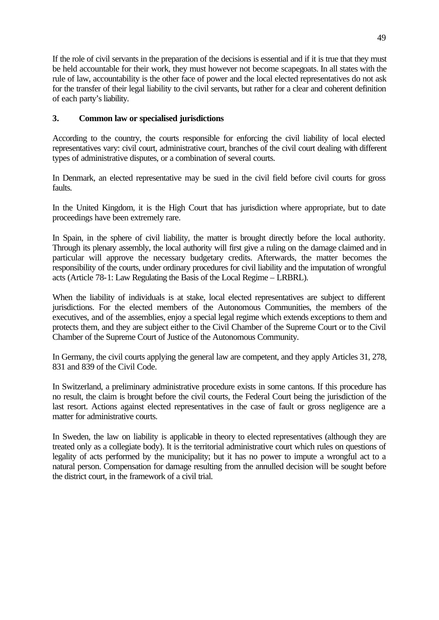If the role of civil servants in the preparation of the decisions is essential and if it is true that they must be held accountable for their work, they must however not become scapegoats. In all states with the rule of law, accountability is the other face of power and the local elected representatives do not ask for the transfer of their legal liability to the civil servants, but rather for a clear and coherent definition of each party's liability.

### **3. Common law or specialised jurisdictions**

According to the country, the courts responsible for enforcing the civil liability of local elected representatives vary: civil court, administrative court, branches of the civil court dealing with different types of administrative disputes, or a combination of several courts.

In Denmark, an elected representative may be sued in the civil field before civil courts for gross faults.

In the United Kingdom, it is the High Court that has jurisdiction where appropriate, but to date proceedings have been extremely rare.

In Spain, in the sphere of civil liability, the matter is brought directly before the local authority. Through its plenary assembly, the local authority will first give a ruling on the damage claimed and in particular will approve the necessary budgetary credits. Afterwards, the matter becomes the responsibility of the courts, under ordinary procedures for civil liability and the imputation of wrongful acts (Article 78-1: Law Regulating the Basis of the Local Regime – LRBRL).

When the liability of individuals is at stake, local elected representatives are subject to different jurisdictions. For the elected members of the Autonomous Communities, the members of the executives, and of the assemblies, enjoy a special legal regime which extends exceptions to them and protects them, and they are subject either to the Civil Chamber of the Supreme Court or to the Civil Chamber of the Supreme Court of Justice of the Autonomous Community.

In Germany, the civil courts applying the general law are competent, and they apply Articles 31, 278, 831 and 839 of the Civil Code.

In Switzerland, a preliminary administrative procedure exists in some cantons. If this procedure has no result, the claim is brought before the civil courts, the Federal Court being the jurisdiction of the last resort. Actions against elected representatives in the case of fault or gross negligence are a matter for administrative courts.

In Sweden, the law on liability is applicable in theory to elected representatives (although they are treated only as a collegiate body). It is the territorial administrative court which rules on questions of legality of acts performed by the municipality; but it has no power to impute a wrongful act to a natural person. Compensation for damage resulting from the annulled decision will be sought before the district court, in the framework of a civil trial.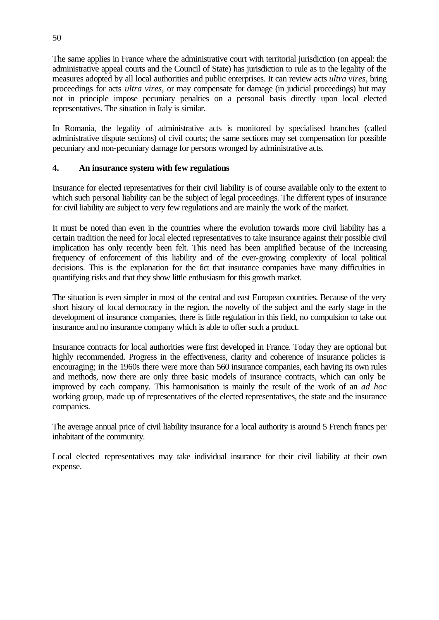The same applies in France where the administrative court with territorial jurisdiction (on appeal: the administrative appeal courts and the Council of State) has jurisdiction to rule as to the legality of the measures adopted by all local authorities and public enterprises. It can review acts *ultra vires,* bring proceedings for acts *ultra vires*, or may compensate for damage (in judicial proceedings) but may not in principle impose pecuniary penalties on a personal basis directly upon local elected representatives. The situation in Italy is similar.

In Romania, the legality of administrative acts is monitored by specialised branches (called administrative dispute sections) of civil courts; the same sections may set compensation for possible pecuniary and non-pecuniary damage for persons wronged by administrative acts.

### **4. An insurance system with few regulations**

Insurance for elected representatives for their civil liability is of course available only to the extent to which such personal liability can be the subject of legal proceedings. The different types of insurance for civil liability are subject to very few regulations and are mainly the work of the market.

It must be noted than even in the countries where the evolution towards more civil liability has a certain tradition the need for local elected representatives to take insurance against their possible civil implication has only recently been felt. This need has been amplified because of the increasing frequency of enforcement of this liability and of the ever-growing complexity of local political decisions. This is the explanation for the fact that insurance companies have many difficulties in quantifying risks and that they show little enthusiasm for this growth market.

The situation is even simpler in most of the central and east European countries. Because of the very short history of local democracy in the region, the novelty of the subject and the early stage in the development of insurance companies, there is little regulation in this field, no compulsion to take out insurance and no insurance company which is able to offer such a product.

Insurance contracts for local authorities were first developed in France. Today they are optional but highly recommended. Progress in the effectiveness, clarity and coherence of insurance policies is encouraging; in the 1960s there were more than 560 insurance companies, each having its own rules and methods, now there are only three basic models of insurance contracts, which can only be improved by each company. This harmonisation is mainly the result of the work of an *ad hoc* working group, made up of representatives of the elected representatives, the state and the insurance companies.

The average annual price of civil liability insurance for a local authority is around 5 French francs per inhabitant of the community.

Local elected representatives may take individual insurance for their civil liability at their own expense.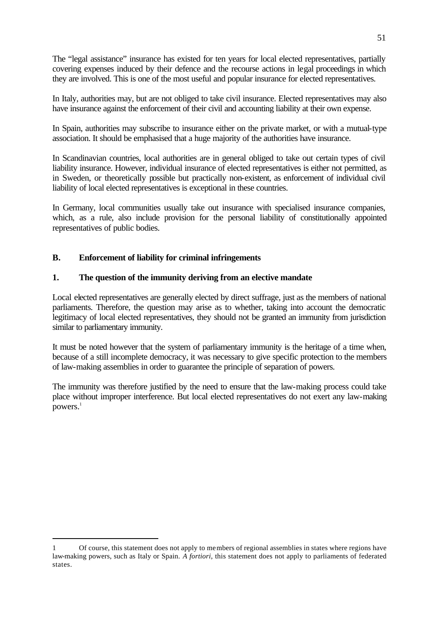The "legal assistance" insurance has existed for ten years for local elected representatives, partially covering expenses induced by their defence and the recourse actions in legal proceedings in which they are involved. This is one of the most useful and popular insurance for elected representatives.

In Italy, authorities may, but are not obliged to take civil insurance. Elected representatives may also have insurance against the enforcement of their civil and accounting liability at their own expense.

In Spain, authorities may subscribe to insurance either on the private market, or with a mutual-type association. It should be emphasised that a huge majority of the authorities have insurance.

In Scandinavian countries, local authorities are in general obliged to take out certain types of civil liability insurance. However, individual insurance of elected representatives is either not permitted, as in Sweden, or theoretically possible but practically non-existent, as enforcement of individual civil liability of local elected representatives is exceptional in these countries.

In Germany, local communities usually take out insurance with specialised insurance companies, which, as a rule, also include provision for the personal liability of constitutionally appointed representatives of public bodies.

### **B. Enforcement of liability for criminal infringements**

#### **1. The question of the immunity deriving from an elective mandate**

Local elected representatives are generally elected by direct suffrage, just as the members of national parliaments. Therefore, the question may arise as to whether, taking into account the democratic legitimacy of local elected representatives, they should not be granted an immunity from jurisdiction similar to parliamentary immunity.

It must be noted however that the system of parliamentary immunity is the heritage of a time when, because of a still incomplete democracy, it was necessary to give specific protection to the members of law-making assemblies in order to guarantee the principle of separation of powers.

The immunity was therefore justified by the need to ensure that the law-making process could take place without improper interference. But local elected representatives do not exert any law-making powers. $<sup>1</sup>$ </sup>

ī 1 Of course, this statement does not apply to members of regional assemblies in states where regions have law-making powers, such as Italy or Spain. *A fortiori*, this statement does not apply to parliaments of federated states.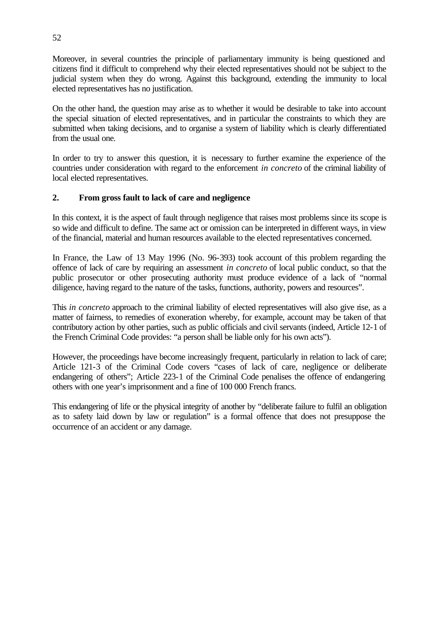Moreover, in several countries the principle of parliamentary immunity is being questioned and citizens find it difficult to comprehend why their elected representatives should not be subject to the judicial system when they do wrong. Against this background, extending the immunity to local elected representatives has no justification.

On the other hand, the question may arise as to whether it would be desirable to take into account the special situation of elected representatives, and in particular the constraints to which they are submitted when taking decisions, and to organise a system of liability which is clearly differentiated from the usual one.

In order to try to answer this question, it is necessary to further examine the experience of the countries under consideration with regard to the enforcement *in concreto* of the criminal liability of local elected representatives.

# **2. From gross fault to lack of care and negligence**

In this context, it is the aspect of fault through negligence that raises most problems since its scope is so wide and difficult to define. The same act or omission can be interpreted in different ways, in view of the financial, material and human resources available to the elected representatives concerned.

In France, the Law of 13 May 1996 (No. 96-393) took account of this problem regarding the offence of lack of care by requiring an assessment *in concreto* of local public conduct, so that the public prosecutor or other prosecuting authority must produce evidence of a lack of "normal diligence, having regard to the nature of the tasks, functions, authority, powers and resources".

This *in concreto* approach to the criminal liability of elected representatives will also give rise, as a matter of fairness, to remedies of exoneration whereby, for example, account may be taken of that contributory action by other parties, such as public officials and civil servants (indeed, Article 12-1 of the French Criminal Code provides: "a person shall be liable only for his own acts").

However, the proceedings have become increasingly frequent, particularly in relation to lack of care; Article 121-3 of the Criminal Code covers "cases of lack of care, negligence or deliberate endangering of others"; Article 223-1 of the Criminal Code penalises the offence of endangering others with one year's imprisonment and a fine of 100 000 French francs.

This endangering of life or the physical integrity of another by "deliberate failure to fulfil an obligation as to safety laid down by law or regulation" is a formal offence that does not presuppose the occurrence of an accident or any damage.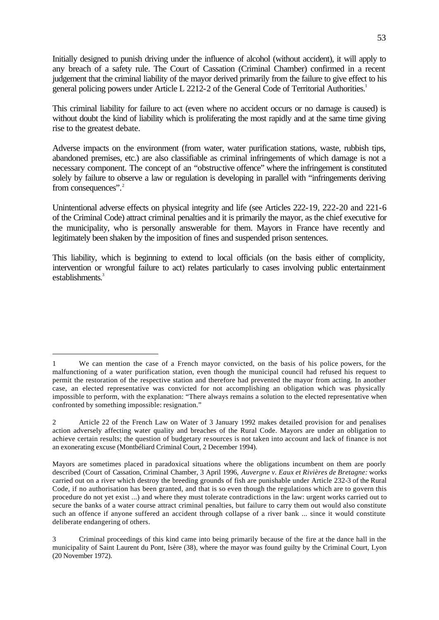Initially designed to punish driving under the influence of alcohol (without accident), it will apply to any breach of a safety rule. The Court of Cassation (Criminal Chamber) confirmed in a recent judgement that the criminal liability of the mayor derived primarily from the failure to give effect to his general policing powers under Article L 2212-2 of the General Code of Territorial Authorities.<sup>1</sup>

This criminal liability for failure to act (even where no accident occurs or no damage is caused) is without doubt the kind of liability which is proliferating the most rapidly and at the same time giving rise to the greatest debate.

Adverse impacts on the environment (from water, water purification stations, waste, rubbish tips, abandoned premises, etc.) are also classifiable as criminal infringements of which damage is not a necessary component. The concept of an "obstructive offence" where the infringement is constituted solely by failure to observe a law or regulation is developing in parallel with "infringements deriving from consequences".<sup>2</sup>

Unintentional adverse effects on physical integrity and life (see Articles 222-19, 222-20 and 221-6 of the Criminal Code) attract criminal penalties and it is primarily the mayor, as the chief executive for the municipality, who is personally answerable for them. Mayors in France have recently and legitimately been shaken by the imposition of fines and suspended prison sentences.

This liability, which is beginning to extend to local officials (on the basis either of complicity, intervention or wrongful failure to act) relates particularly to cases involving public entertainment establishments. $3$ 

ī 1 We can mention the case of a French mayor convicted, on the basis of his police powers, for the malfunctioning of a water purification station, even though the municipal council had refused his request to permit the restoration of the respective station and therefore had prevented the mayor from acting. In another case, an elected representative was convicted for not accomplishing an obligation which was physically impossible to perform, with the explanation: "There always remains a solution to the elected representative when confronted by something impossible: resignation."

<sup>2</sup> Article 22 of the French Law on Water of 3 January 1992 makes detailed provision for and penalises action adversely affecting water quality and breaches of the Rural Code. Mayors are under an obligation to achieve certain results; the question of budgetary resources is not taken into account and lack of finance is not an exonerating excuse (Montbéliard Criminal Court, 2 December 1994).

Mayors are sometimes placed in paradoxical situations where the obligations incumbent on them are poorly described (Court of Cassation, Criminal Chamber, 3 April 1996, *Auvergne v. Eaux et Rivières de Bretagne:* works carried out on a river which destroy the breeding grounds of fish are punishable under Article 232-3 of the Rural Code, if no authorisation has been granted, and that is so even though the regulations which are to govern this procedure do not yet exist ...) and where they must tolerate contradictions in the law: urgent works carried out to secure the banks of a water course attract criminal penalties, but failure to carry them out would also constitute such an offence if anyone suffered an accident through collapse of a river bank ... since it would constitute deliberate endangering of others.

<sup>3</sup> Criminal proceedings of this kind came into being primarily because of the fire at the dance hall in the municipality of Saint Laurent du Pont, Isère (38), where the mayor was found guilty by the Criminal Court, Lyon (20 November 1972).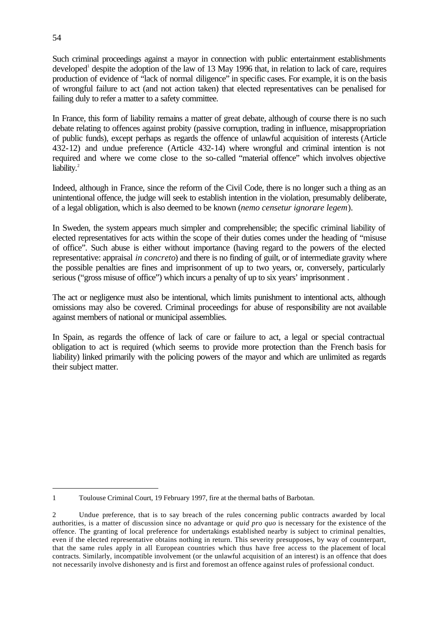Such criminal proceedings against a mayor in connection with public entertainment establishments developed<sup>1</sup> despite the adoption of the law of 13 May 1996 that, in relation to lack of care, requires production of evidence of "lack of normal diligence" in specific cases. For example, it is on the basis of wrongful failure to act (and not action taken) that elected representatives can be penalised for failing duly to refer a matter to a safety committee.

In France, this form of liability remains a matter of great debate, although of course there is no such debate relating to offences against probity (passive corruption, trading in influence, misappropriation of public funds), except perhaps as regards the offence of unlawful acquisition of interests (Article 432-12) and undue preference (Article 432-14) where wrongful and criminal intention is not required and where we come close to the so-called "material offence" which involves objective liability.<sup>2</sup>

Indeed, although in France, since the reform of the Civil Code, there is no longer such a thing as an unintentional offence, the judge will seek to establish intention in the violation, presumably deliberate, of a legal obligation, which is also deemed to be known (*nemo censetur ignorare legem*).

In Sweden, the system appears much simpler and comprehensible; the specific criminal liability of elected representatives for acts within the scope of their duties comes under the heading of "misuse of office". Such abuse is either without importance (having regard to the powers of the elected representative: appraisal *in concreto*) and there is no finding of guilt, or of intermediate gravity where the possible penalties are fines and imprisonment of up to two years, or, conversely, particularly serious ("gross misuse of office") which incurs a penalty of up to six years' imprisonment .

The act or negligence must also be intentional, which limits punishment to intentional acts, although omissions may also be covered. Criminal proceedings for abuse of responsibility are not available against members of national or municipal assemblies.

In Spain, as regards the offence of lack of care or failure to act, a legal or special contractual obligation to act is required (which seems to provide more protection than the French basis for liability) linked primarily with the policing powers of the mayor and which are unlimited as regards their subject matter.

ī 1 Toulouse Criminal Court, 19 February 1997, fire at the thermal baths of Barbotan.

<sup>2</sup> Undue preference, that is to say breach of the rules concerning public contracts awarded by local authorities, is a matter of discussion since no advantage or *quid pro quo* is necessary for the existence of the offence. The granting of local preference for undertakings established nearby is subject to criminal penalties, even if the elected representative obtains nothing in return. This severity presupposes, by way of counterpart, that the same rules apply in all European countries which thus have free access to the placement of local contracts. Similarly, incompatible involvement (or the unlawful acquisition of an interest) is an offence that does not necessarily involve dishonesty and is first and foremost an offence against rules of professional conduct.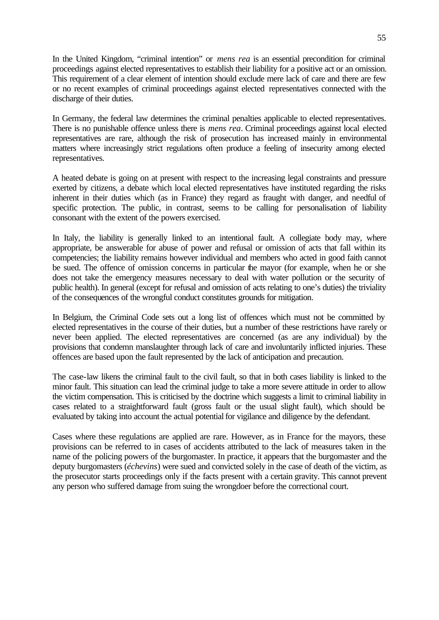In the United Kingdom, "criminal intention" or *mens rea* is an essential precondition for criminal proceedings against elected representatives to establish their liability for a positive act or an omission. This requirement of a clear element of intention should exclude mere lack of care and there are few or no recent examples of criminal proceedings against elected representatives connected with the discharge of their duties.

In Germany, the federal law determines the criminal penalties applicable to elected representatives. There is no punishable offence unless there is *mens rea*. Criminal proceedings against local elected representatives are rare, although the risk of prosecution has increased mainly in environmental matters where increasingly strict regulations often produce a feeling of insecurity among elected representatives.

A heated debate is going on at present with respect to the increasing legal constraints and pressure exerted by citizens, a debate which local elected representatives have instituted regarding the risks inherent in their duties which (as in France) they regard as fraught with danger, and needful of specific protection. The public, in contrast, seems to be calling for personalisation of liability consonant with the extent of the powers exercised.

In Italy, the liability is generally linked to an intentional fault. A collegiate body may, where appropriate, be answerable for abuse of power and refusal or omission of acts that fall within its competencies; the liability remains however individual and members who acted in good faith cannot be sued. The offence of omission concerns in particular the mayor (for example, when he or she does not take the emergency measures necessary to deal with water pollution or the security of public health). In general (except for refusal and omission of acts relating to one's duties) the triviality of the consequences of the wrongful conduct constitutes grounds for mitigation.

In Belgium, the Criminal Code sets out a long list of offences which must not be committed by elected representatives in the course of their duties, but a number of these restrictions have rarely or never been applied. The elected representatives are concerned (as are any individual) by the provisions that condemn manslaughter through lack of care and involuntarily inflicted injuries. These offences are based upon the fault represented by the lack of anticipation and precaution.

The case-law likens the criminal fault to the civil fault, so that in both cases liability is linked to the minor fault. This situation can lead the criminal judge to take a more severe attitude in order to allow the victim compensation. This is criticised by the doctrine which suggests a limit to criminal liability in cases related to a straightforward fault (gross fault or the usual slight fault), which should be evaluated by taking into account the actual potential for vigilance and diligence by the defendant.

Cases where these regulations are applied are rare. However, as in France for the mayors, these provisions can be referred to in cases of accidents attributed to the lack of measures taken in the name of the policing powers of the burgomaster. In practice, it appears that the burgomaster and the deputy burgomasters (*échevins*) were sued and convicted solely in the case of death of the victim, as the prosecutor starts proceedings only if the facts present with a certain gravity. This cannot prevent any person who suffered damage from suing the wrongdoer before the correctional court.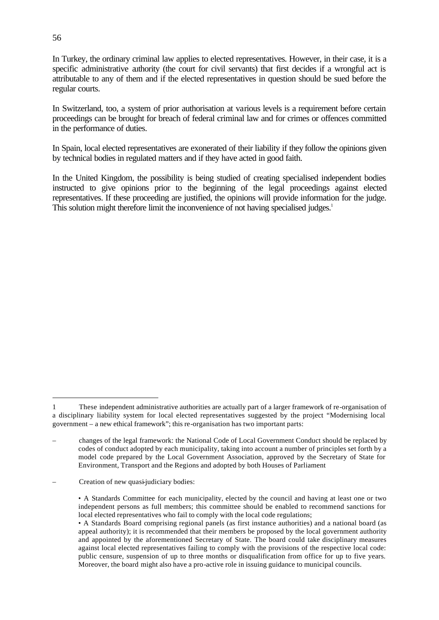In Turkey, the ordinary criminal law applies to elected representatives. However, in their case, it is a specific administrative authority (the court for civil servants) that first decides if a wrongful act is attributable to any of them and if the elected representatives in question should be sued before the regular courts.

In Switzerland, too, a system of prior authorisation at various levels is a requirement before certain proceedings can be brought for breach of federal criminal law and for crimes or offences committed in the performance of duties.

In Spain, local elected representatives are exonerated of their liability if they follow the opinions given by technical bodies in regulated matters and if they have acted in good faith.

In the United Kingdom, the possibility is being studied of creating specialised independent bodies instructed to give opinions prior to the beginning of the legal proceedings against elected representatives. If these proceeding are justified, the opinions will provide information for the judge. This solution might therefore limit the inconvenience of not having specialised judges.<sup>1</sup>

ī 1 These independent administrative authorities are actually part of a larger framework of re-organisation of a disciplinary liability system for local elected representatives suggested by the project "Modernising local government – a new ethical framework"; this re-organisation has two important parts:

<sup>–</sup> changes of the legal framework: the National Code of Local Government Conduct should be replaced by codes of conduct adopted by each municipality, taking into account a number of principles set forth by a model code prepared by the Local Government Association, approved by the Secretary of State for Environment, Transport and the Regions and adopted by both Houses of Parliament

<sup>–</sup> Creation of new quasi-judiciary bodies:

<sup>•</sup> A Standards Committee for each municipality, elected by the council and having at least one or two independent persons as full members; this committee should be enabled to recommend sanctions for local elected representatives who fail to comply with the local code regulations;

<sup>•</sup> A Standards Board comprising regional panels (as first instance authorities) and a national board (as appeal authority); it is recommended that their members be proposed by the local government authority and appointed by the aforementioned Secretary of State. The board could take disciplinary measures against local elected representatives failing to comply with the provisions of the respective local code: public censure, suspension of up to three months or disqualification from office for up to five years. Moreover, the board might also have a pro-active role in issuing guidance to municipal councils.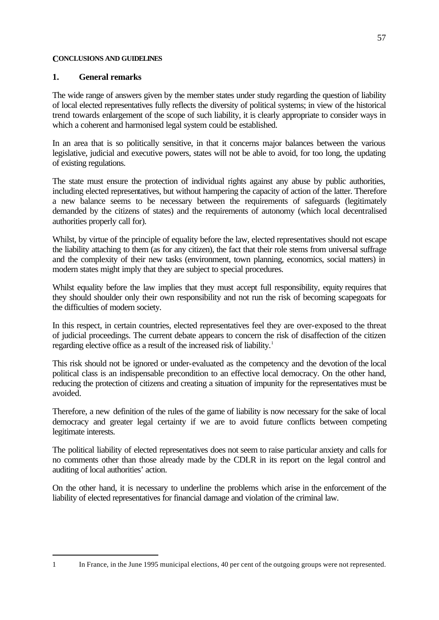#### **CONCLUSIONS AND GUIDELINES**

### **1. General remarks**

ī

The wide range of answers given by the member states under study regarding the question of liability of local elected representatives fully reflects the diversity of political systems; in view of the historical trend towards enlargement of the scope of such liability, it is clearly appropriate to consider ways in which a coherent and harmonised legal system could be established.

In an area that is so politically sensitive, in that it concerns major balances between the various legislative, judicial and executive powers, states will not be able to avoid, for too long, the updating of existing regulations.

The state must ensure the protection of individual rights against any abuse by public authorities, including elected representatives, but without hampering the capacity of action of the latter. Therefore a new balance seems to be necessary between the requirements of safeguards (legitimately demanded by the citizens of states) and the requirements of autonomy (which local decentralised authorities properly call for).

Whilst, by virtue of the principle of equality before the law, elected representatives should not escape the liability attaching to them (as for any citizen), the fact that their role stems from universal suffrage and the complexity of their new tasks (environment, town planning, economics, social matters) in modern states might imply that they are subject to special procedures.

Whilst equality before the law implies that they must accept full responsibility, equity requires that they should shoulder only their own responsibility and not run the risk of becoming scapegoats for the difficulties of modern society.

In this respect, in certain countries, elected representatives feel they are over-exposed to the threat of judicial proceedings. The current debate appears to concern the risk of disaffection of the citizen regarding elective office as a result of the increased risk of liability.<sup>1</sup>

This risk should not be ignored or under-evaluated as the competency and the devotion of the local political class is an indispensable precondition to an effective local democracy. On the other hand, reducing the protection of citizens and creating a situation of impunity for the representatives must be avoided.

Therefore, a new definition of the rules of the game of liability is now necessary for the sake of local democracy and greater legal certainty if we are to avoid future conflicts between competing legitimate interests.

The political liability of elected representatives does not seem to raise particular anxiety and calls for no comments other than those already made by the CDLR in its report on the legal control and auditing of local authorities' action.

On the other hand, it is necessary to underline the problems which arise in the enforcement of the liability of elected representatives for financial damage and violation of the criminal law.

<sup>1</sup> In France, in the June 1995 municipal elections, 40 per cent of the outgoing groups were not represented.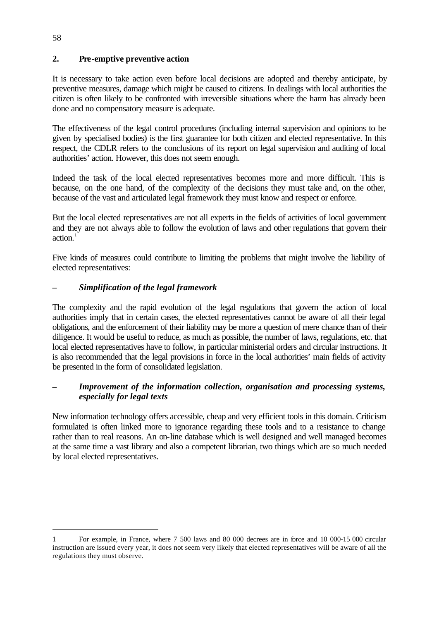# **2. Pre-emptive preventive action**

It is necessary to take action even before local decisions are adopted and thereby anticipate, by preventive measures, damage which might be caused to citizens. In dealings with local authorities the citizen is often likely to be confronted with irreversible situations where the harm has already been done and no compensatory measure is adequate.

The effectiveness of the legal control procedures (including internal supervision and opinions to be given by specialised bodies) is the first guarantee for both citizen and elected representative. In this respect, the CDLR refers to the conclusions of its report on legal supervision and auditing of local authorities' action. However, this does not seem enough.

Indeed the task of the local elected representatives becomes more and more difficult. This is because, on the one hand, of the complexity of the decisions they must take and, on the other, because of the vast and articulated legal framework they must know and respect or enforce.

But the local elected representatives are not all experts in the fields of activities of local government and they are not always able to follow the evolution of laws and other regulations that govern their  $\arctan^{-1}$ 

Five kinds of measures could contribute to limiting the problems that might involve the liability of elected representatives:

# *– Simplification of the legal framework*

The complexity and the rapid evolution of the legal regulations that govern the action of local authorities imply that in certain cases, the elected representatives cannot be aware of all their legal obligations, and the enforcement of their liability may be more a question of mere chance than of their diligence. It would be useful to reduce, as much as possible, the number of laws, regulations, etc. that local elected representatives have to follow, in particular ministerial orders and circular instructions. It is also recommended that the legal provisions in force in the local authorities' main fields of activity be presented in the form of consolidated legislation.

# *Improvement of the information collection, organisation and processing systems, especially for legal texts*

New information technology offers accessible, cheap and very efficient tools in this domain. Criticism formulated is often linked more to ignorance regarding these tools and to a resistance to change rather than to real reasons. An on-line database which is well designed and well managed becomes at the same time a vast library and also a competent librarian, two things which are so much needed by local elected representatives.

ī 1 For example, in France, where 7 500 laws and 80 000 decrees are in force and 10 000-15 000 circular instruction are issued every year, it does not seem very likely that elected representatives will be aware of all the regulations they must observe.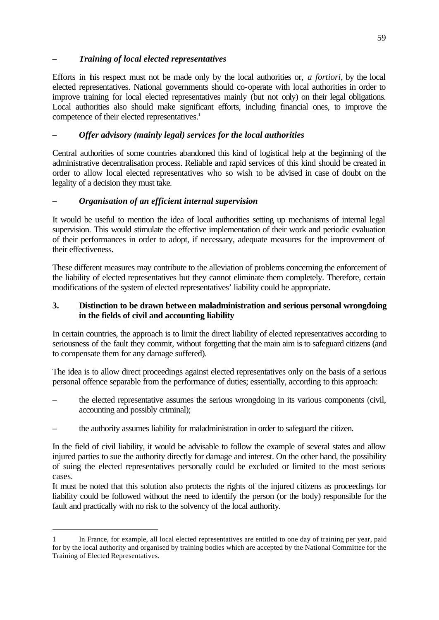# *– Training of local elected representatives*

Efforts in this respect must not be made only by the local authorities or, *a fortiori*, by the local elected representatives. National governments should co-operate with local authorities in order to improve training for local elected representatives mainly (but not only) on their legal obligations. Local authorities also should make significant efforts, including financial ones, to improve the competence of their elected representatives.<sup>1</sup>

# *– Offer advisory (mainly legal) services for the local authorities*

Central authorities of some countries abandoned this kind of logistical help at the beginning of the administrative decentralisation process. Reliable and rapid services of this kind should be created in order to allow local elected representatives who so wish to be advised in case of doubt on the legality of a decision they must take.

# **–** *Organisation of an efficient internal supervision*

It would be useful to mention the idea of local authorities setting up mechanisms of internal legal supervision. This would stimulate the effective implementation of their work and periodic evaluation of their performances in order to adopt, if necessary, adequate measures for the improvement of their effectiveness.

These different measures may contribute to the alleviation of problems concerning the enforcement of the liability of elected representatives but they cannot eliminate them completely. Therefore, certain modifications of the system of elected representatives' liability could be appropriate.

### **3. Distinction to be drawn between maladministration and serious personal wrongdoing in the fields of civil and accounting liability**

In certain countries, the approach is to limit the direct liability of elected representatives according to seriousness of the fault they commit, without forgetting that the main aim is to safeguard citizens (and to compensate them for any damage suffered).

The idea is to allow direct proceedings against elected representatives only on the basis of a serious personal offence separable from the performance of duties; essentially, according to this approach:

- the elected representative assumes the serious wrongdoing in its various components (civil, accounting and possibly criminal);
- the authority assumes liability for maladministration in order to safeguard the citizen.

In the field of civil liability, it would be advisable to follow the example of several states and allow injured parties to sue the authority directly for damage and interest. On the other hand, the possibility of suing the elected representatives personally could be excluded or limited to the most serious cases.

It must be noted that this solution also protects the rights of the injured citizens as proceedings for liability could be followed without the need to identify the person (or the body) responsible for the fault and practically with no risk to the solvency of the local authority.

ī 1 In France, for example, all local elected representatives are entitled to one day of training per year, paid for by the local authority and organised by training bodies which are accepted by the National Committee for the Training of Elected Representatives.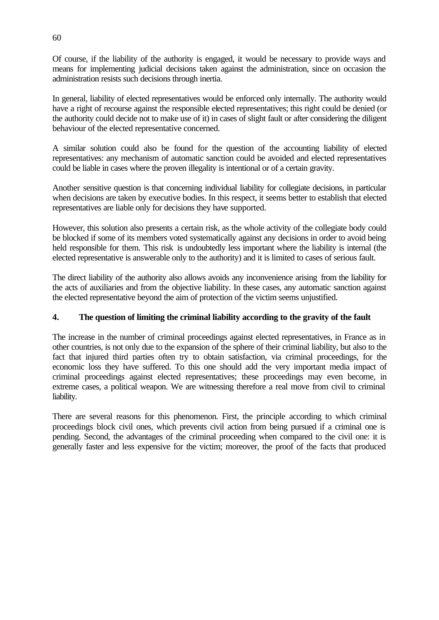Of course, if the liability of the authority is engaged, it would be necessary to provide ways and means for implementing judicial decisions taken against the administration, since on occasion the administration resists such decisions through inertia.

In general, liability of elected representatives would be enforced only internally. The authority would have a right of recourse against the responsible elected representatives; this right could be denied (or the authority could decide not to make use of it) in cases of slight fault or after considering the diligent behaviour of the elected representative concerned.

A similar solution could also be found for the question of the accounting liability of elected representatives: any mechanism of automatic sanction could be avoided and elected representatives could be liable in cases where the proven illegality is intentional or of a certain gravity.

Another sensitive question is that concerning individual liability for collegiate decisions, in particular when decisions are taken by executive bodies. In this respect, it seems better to establish that elected representatives are liable only for decisions they have supported.

However, this solution also presents a certain risk, as the whole activity of the collegiate body could be blocked if some of its members voted systematically against any decisions in order to avoid being held responsible for them. This risk is undoubtedly less important where the liability is internal (the elected representative is answerable only to the authority) and it is limited to cases of serious fault.

The direct liability of the authority also allows avoids any inconvenience arising from the liability for the acts of auxiliaries and from the objective liability. In these cases, any automatic sanction against the elected representative beyond the aim of protection of the victim seems unjustified.

# **4. The question of limiting the criminal liability according to the gravity of the fault**

The increase in the number of criminal proceedings against elected representatives, in France as in other countries, is not only due to the expansion of the sphere of their criminal liability, but also to the fact that injured third parties often try to obtain satisfaction, via criminal proceedings, for the economic loss they have suffered. To this one should add the very important media impact of criminal proceedings against elected representatives; these proceedings may even become, in extreme cases, a political weapon. We are witnessing therefore a real move from civil to criminal liability.

There are several reasons for this phenomenon. First, the principle according to which criminal proceedings block civil ones, which prevents civil action from being pursued if a criminal one is pending. Second, the advantages of the criminal proceeding when compared to the civil one: it is generally faster and less expensive for the victim; moreover, the proof of the facts that produced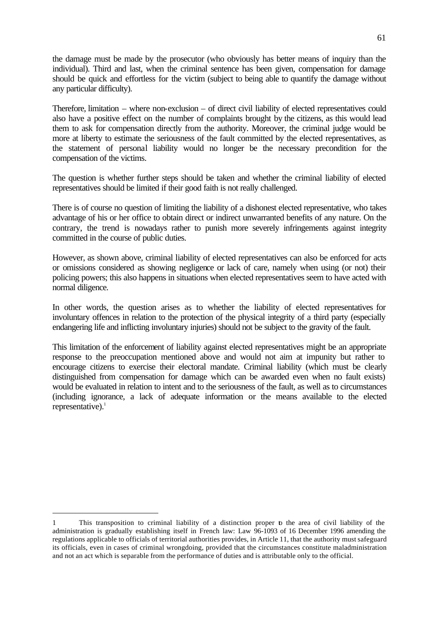the damage must be made by the prosecutor (who obviously has better means of inquiry than the individual). Third and last, when the criminal sentence has been given, compensation for damage should be quick and effortless for the victim (subject to being able to quantify the damage without any particular difficulty).

Therefore, limitation – where non-exclusion – of direct civil liability of elected representatives could also have a positive effect on the number of complaints brought by the citizens, as this would lead them to ask for compensation directly from the authority. Moreover, the criminal judge would be more at liberty to estimate the seriousness of the fault committed by the elected representatives, as the statement of personal liability would no longer be the necessary precondition for the compensation of the victims.

The question is whether further steps should be taken and whether the criminal liability of elected representatives should be limited if their good faith is not really challenged.

There is of course no question of limiting the liability of a dishonest elected representative, who takes advantage of his or her office to obtain direct or indirect unwarranted benefits of any nature. On the contrary, the trend is nowadays rather to punish more severely infringements against integrity committed in the course of public duties.

However, as shown above, criminal liability of elected representatives can also be enforced for acts or omissions considered as showing negligence or lack of care, namely when using (or not) their policing powers; this also happens in situations when elected representatives seem to have acted with normal diligence.

In other words, the question arises as to whether the liability of elected representatives for involuntary offences in relation to the protection of the physical integrity of a third party (especially endangering life and inflicting involuntary injuries) should not be subject to the gravity of the fault.

This limitation of the enforcement of liability against elected representatives might be an appropriate response to the preoccupation mentioned above and would not aim at impunity but rather to encourage citizens to exercise their electoral mandate. Criminal liability (which must be clearly distinguished from compensation for damage which can be awarded even when no fault exists) would be evaluated in relation to intent and to the seriousness of the fault, as well as to circumstances (including ignorance, a lack of adequate information or the means available to the elected representative). $<sup>1</sup>$ </sup>

ī 1 This transposition to criminal liability of a distinction proper to the area of civil liability of the administration is gradually establishing itself in French law: Law 96-1093 of 16 December 1996 amending the regulations applicable to officials of territorial authorities provides, in Article 11, that the authority must safeguard its officials, even in cases of criminal wrongdoing, provided that the circumstances constitute maladministration and not an act which is separable from the performance of duties and is attributable only to the official.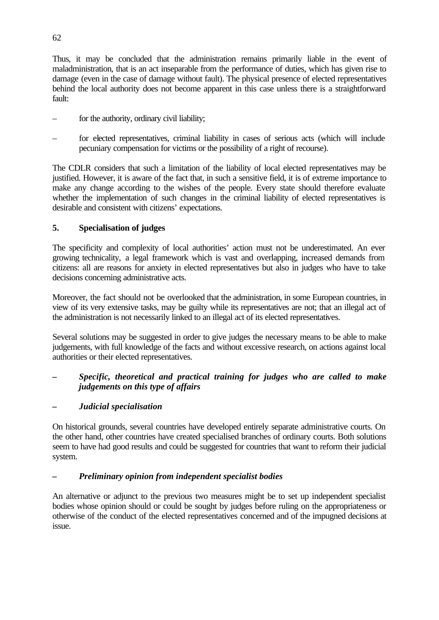Thus, it may be concluded that the administration remains primarily liable in the event of maladministration, that is an act inseparable from the performance of duties, which has given rise to damage (even in the case of damage without fault). The physical presence of elected representatives behind the local authority does not become apparent in this case unless there is a straightforward fault:

- for the authority, ordinary civil liability;
- for elected representatives, criminal liability in cases of serious acts (which will include pecuniary compensation for victims or the possibility of a right of recourse).

The CDLR considers that such a limitation of the liability of local elected representatives may be justified. However, it is aware of the fact that, in such a sensitive field, it is of extreme importance to make any change according to the wishes of the people. Every state should therefore evaluate whether the implementation of such changes in the criminal liability of elected representatives is desirable and consistent with citizens' expectations.

# **5. Specialisation of judges**

The specificity and complexity of local authorities' action must not be underestimated. An ever growing technicality, a legal framework which is vast and overlapping, increased demands from citizens: all are reasons for anxiety in elected representatives but also in judges who have to take decisions concerning administrative acts.

Moreover, the fact should not be overlooked that the administration, in some European countries, in view of its very extensive tasks, may be guilty while its representatives are not; that an illegal act of the administration is not necessarily linked to an illegal act of its elected representatives.

Several solutions may be suggested in order to give judges the necessary means to be able to make judgements, with full knowledge of the facts and without excessive research, on actions against local authorities or their elected representatives.

# **–** *Specific, theoretical and practical training for judges who are called to make judgements on this type of affairs*

# *– Judicial specialisation*

On historical grounds, several countries have developed entirely separate administrative courts. On the other hand, other countries have created specialised branches of ordinary courts. Both solutions seem to have had good results and could be suggested for countries that want to reform their judicial system.

# *– Preliminary opinion from independent specialist bodies*

An alternative or adjunct to the previous two measures might be to set up independent specialist bodies whose opinion should or could be sought by judges before ruling on the appropriateness or otherwise of the conduct of the elected representatives concerned and of the impugned decisions at issue.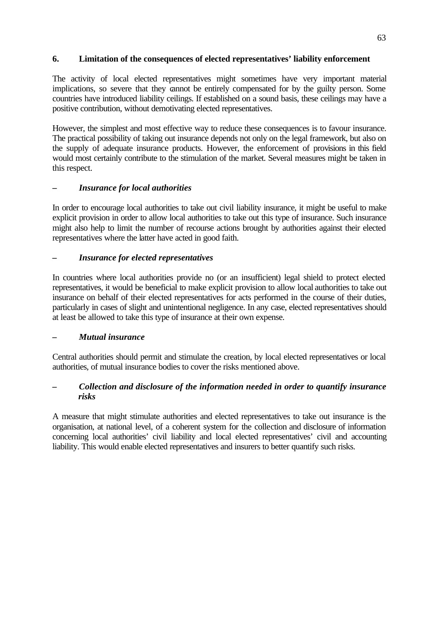# **6. Limitation of the consequences of elected representatives' liability enforcement**

The activity of local elected representatives might sometimes have very important material implications, so severe that they cannot be entirely compensated for by the guilty person. Some countries have introduced liability ceilings. If established on a sound basis, these ceilings may have a positive contribution, without demotivating elected representatives.

However, the simplest and most effective way to reduce these consequences is to favour insurance. The practical possibility of taking out insurance depends not only on the legal framework, but also on the supply of adequate insurance products. However, the enforcement of provisions in this field would most certainly contribute to the stimulation of the market. Several measures might be taken in this respect.

# **–** *Insurance for local authorities*

In order to encourage local authorities to take out civil liability insurance, it might be useful to make explicit provision in order to allow local authorities to take out this type of insurance. Such insurance might also help to limit the number of recourse actions brought by authorities against their elected representatives where the latter have acted in good faith.

### *– Insurance for elected representatives*

In countries where local authorities provide no (or an insufficient) legal shield to protect elected representatives, it would be beneficial to make explicit provision to allow local authorities to take out insurance on behalf of their elected representatives for acts performed in the course of their duties, particularly in cases of slight and unintentional negligence. In any case, elected representatives should at least be allowed to take this type of insurance at their own expense.

#### *– Mutual insurance*

Central authorities should permit and stimulate the creation, by local elected representatives or local authorities, of mutual insurance bodies to cover the risks mentioned above.

# *– Collection and disclosure of the information needed in order to quantify insurance risks*

A measure that might stimulate authorities and elected representatives to take out insurance is the organisation, at national level, of a coherent system for the collection and disclosure of information concerning local authorities' civil liability and local elected representatives' civil and accounting liability. This would enable elected representatives and insurers to better quantify such risks.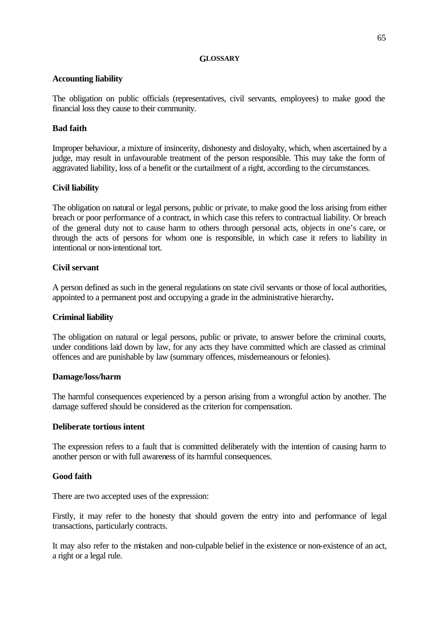#### **GLOSSARY**

#### **Accounting liability**

The obligation on public officials (representatives, civil servants, employees) to make good the financial loss they cause to their community.

### **Bad faith**

Improper behaviour, a mixture of insincerity, dishonesty and disloyalty, which, when ascertained by a judge, may result in unfavourable treatment of the person responsible. This may take the form of aggravated liability, loss of a benefit or the curtailment of a right, according to the circumstances.

### **Civil liability**

The obligation on natural or legal persons, public or private, to make good the loss arising from either breach or poor performance of a contract, in which case this refers to contractual liability. Or breach of the general duty not to cause harm to others through personal acts, objects in one's care, or through the acts of persons for whom one is responsible, in which case it refers to liability in intentional or non-intentional tort.

#### **Civil servant**

A person defined as such in the general regulations on state civil servants or those of local authorities, appointed to a permanent post and occupying a grade in the administrative hierarchy**.**

#### **Criminal liability**

The obligation on natural or legal persons, public or private, to answer before the criminal courts, under conditions laid down by law, for any acts they have committed which are classed as criminal offences and are punishable by law (summary offences, misdemeanours or felonies).

#### **Damage/loss/harm**

The harmful consequences experienced by a person arising from a wrongful action by another. The damage suffered should be considered as the criterion for compensation.

#### **Deliberate tortious intent**

The expression refers to a fault that is committed deliberately with the intention of causing harm to another person or with full awareness of its harmful consequences.

#### **Good faith**

There are two accepted uses of the expression:

Firstly, it may refer to the honesty that should govern the entry into and performance of legal transactions, particularly contracts.

It may also refer to the mistaken and non-culpable belief in the existence or non-existence of an act, a right or a legal rule.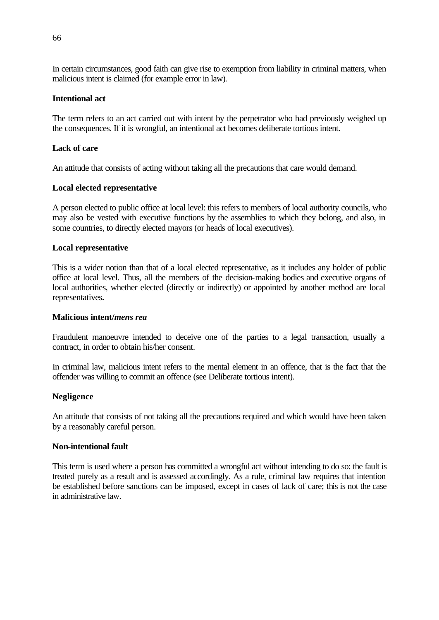In certain circumstances, good faith can give rise to exemption from liability in criminal matters, when malicious intent is claimed (for example error in law).

### **Intentional act**

The term refers to an act carried out with intent by the perpetrator who had previously weighed up the consequences. If it is wrongful, an intentional act becomes deliberate tortious intent.

### **Lack of care**

An attitude that consists of acting without taking all the precautions that care would demand.

### **Local elected representative**

A person elected to public office at local level: this refers to members of local authority councils, who may also be vested with executive functions by the assemblies to which they belong, and also, in some countries, to directly elected mayors (or heads of local executives).

#### **Local representative**

This is a wider notion than that of a local elected representative, as it includes any holder of public office at local level. Thus, all the members of the decision-making bodies and executive organs of local authorities, whether elected (directly or indirectly) or appointed by another method are local representatives**.**

#### **Malicious intent/***mens rea*

Fraudulent manoeuvre intended to deceive one of the parties to a legal transaction, usually a contract, in order to obtain his/her consent.

In criminal law, malicious intent refers to the mental element in an offence, that is the fact that the offender was willing to commit an offence (see Deliberate tortious intent).

#### **Negligence**

An attitude that consists of not taking all the precautions required and which would have been taken by a reasonably careful person.

#### **Non-intentional fault**

This term is used where a person has committed a wrongful act without intending to do so: the fault is treated purely as a result and is assessed accordingly. As a rule, criminal law requires that intention be established before sanctions can be imposed, except in cases of lack of care; this is not the case in administrative law.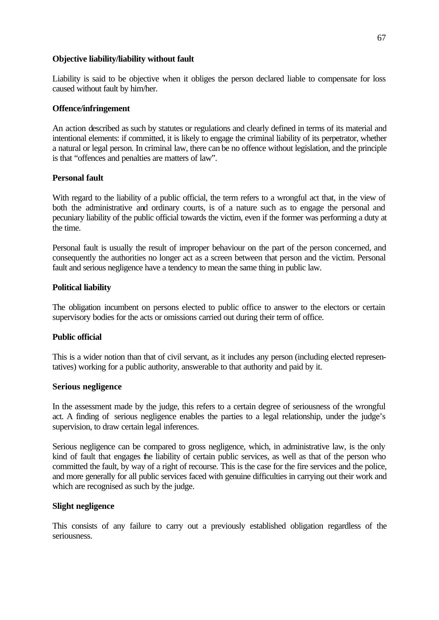#### **Objective liability/liability without fault**

Liability is said to be objective when it obliges the person declared liable to compensate for loss caused without fault by him/her.

#### **Offence/infringement**

An action described as such by statutes or regulations and clearly defined in terms of its material and intentional elements: if committed, it is likely to engage the criminal liability of its perpetrator, whether a natural or legal person. In criminal law, there can be no offence without legislation, and the principle is that "offences and penalties are matters of law".

#### **Personal fault**

With regard to the liability of a public official, the term refers to a wrongful act that, in the view of both the administrative and ordinary courts, is of a nature such as to engage the personal and pecuniary liability of the public official towards the victim, even if the former was performing a duty at the time.

Personal fault is usually the result of improper behaviour on the part of the person concerned, and consequently the authorities no longer act as a screen between that person and the victim. Personal fault and serious negligence have a tendency to mean the same thing in public law.

#### **Political liability**

The obligation incumbent on persons elected to public office to answer to the electors or certain supervisory bodies for the acts or omissions carried out during their term of office.

#### **Public official**

This is a wider notion than that of civil servant, as it includes any person (including elected representatives) working for a public authority, answerable to that authority and paid by it.

#### **Serious negligence**

In the assessment made by the judge, this refers to a certain degree of seriousness of the wrongful act. A finding of serious negligence enables the parties to a legal relationship, under the judge's supervision, to draw certain legal inferences.

Serious negligence can be compared to gross negligence, which, in administrative law, is the only kind of fault that engages the liability of certain public services, as well as that of the person who committed the fault, by way of a right of recourse. This is the case for the fire services and the police, and more generally for all public services faced with genuine difficulties in carrying out their work and which are recognised as such by the judge.

#### **Slight negligence**

This consists of any failure to carry out a previously established obligation regardless of the seriousness.